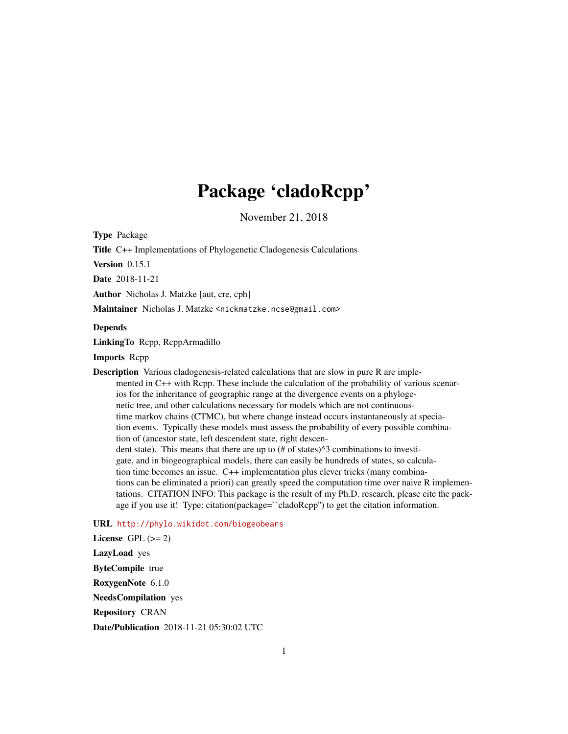## Package 'cladoRcpp'

November 21, 2018

<span id="page-0-0"></span>Type Package

Title C++ Implementations of Phylogenetic Cladogenesis Calculations

Version 0.15.1

Date 2018-11-21

Author Nicholas J. Matzke [aut, cre, cph]

Maintainer Nicholas J. Matzke <nickmatzke.ncse@gmail.com>

#### Depends

LinkingTo Rcpp, RcppArmadillo

Imports Rcpp

Description Various cladogenesis-related calculations that are slow in pure R are implemented in C++ with Rcpp. These include the calculation of the probability of various scenarios for the inheritance of geographic range at the divergence events on a phylogenetic tree, and other calculations necessary for models which are not continuoustime markov chains (CTMC), but where change instead occurs instantaneously at speciation events. Typically these models must assess the probability of every possible combination of (ancestor state, left descendent state, right descendent state). This means that there are up to  $(\# \text{ of states})^{\wedge}3$  combinations to investigate, and in biogeographical models, there can easily be hundreds of states, so calculation time becomes an issue. C++ implementation plus clever tricks (many combinations can be eliminated a priori) can greatly speed the computation time over naive R implementations. CITATION INFO: This package is the result of my Ph.D. research, please cite the package if you use it! Type: citation(package=``cladoRcpp'') to get the citation information.

## URL <http://phylo.wikidot.com/biogeobears>

License GPL  $(>= 2)$ LazyLoad yes ByteCompile true RoxygenNote 6.1.0 NeedsCompilation yes Repository CRAN Date/Publication 2018-11-21 05:30:02 UTC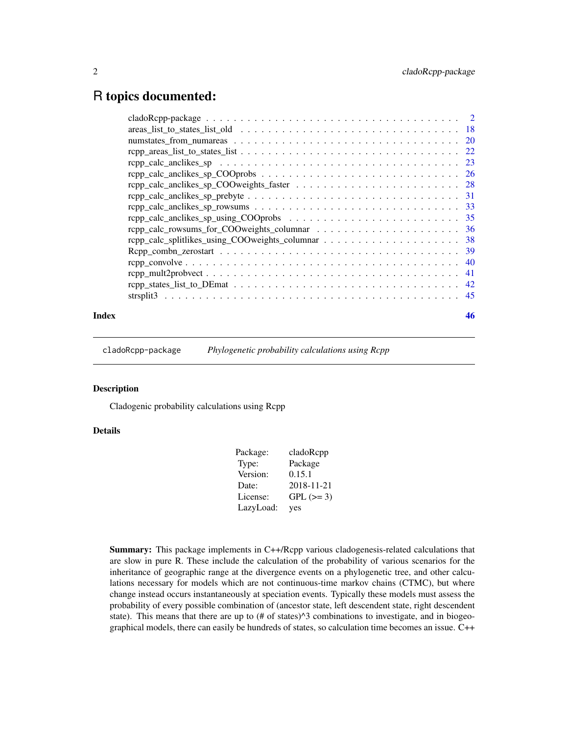## <span id="page-1-0"></span>R topics documented:

| -18                                                                                                 |
|-----------------------------------------------------------------------------------------------------|
| <sup>20</sup>                                                                                       |
|                                                                                                     |
| -23                                                                                                 |
| $repp\_calc\_anclikes\_sp\_COOprobs \ldots \ldots \ldots \ldots \ldots \ldots \ldots \ldots$<br>-26 |
| -28                                                                                                 |
| -31                                                                                                 |
| 33                                                                                                  |
| 35                                                                                                  |
| 36                                                                                                  |
| -38                                                                                                 |
| -39                                                                                                 |
| 40                                                                                                  |
| 41                                                                                                  |
| 42                                                                                                  |
| 45                                                                                                  |
|                                                                                                     |

## **Index a** set of the set of the set of the set of the set of the set of the set of the set of the set of the set of the set of the set of the set of the set of the set of the set of the set of the set of the set of the s

cladoRcpp-package *Phylogenetic probability calculations using Rcpp*

#### Description

Cladogenic probability calculations using Rcpp

#### Details

| Package:  | cladoRcpp  |
|-----------|------------|
| Type:     | Package    |
| Version:  | 0.15.1     |
| Date:     | 2018-11-21 |
| License:  | $GPL (=3)$ |
| LazyLoad: | yes        |

Summary: This package implements in C++/Rcpp various cladogenesis-related calculations that are slow in pure R. These include the calculation of the probability of various scenarios for the inheritance of geographic range at the divergence events on a phylogenetic tree, and other calculations necessary for models which are not continuous-time markov chains (CTMC), but where change instead occurs instantaneously at speciation events. Typically these models must assess the probability of every possible combination of (ancestor state, left descendent state, right descendent state). This means that there are up to  $(\# \text{ of states})^3$  combinations to investigate, and in biogeographical models, there can easily be hundreds of states, so calculation time becomes an issue. C++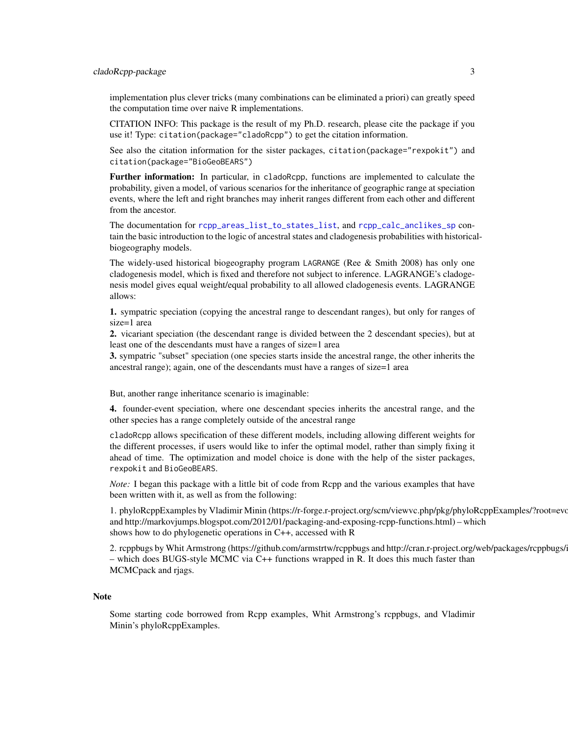#### <span id="page-2-0"></span>cladoRcpp-package 3

implementation plus clever tricks (many combinations can be eliminated a priori) can greatly speed the computation time over naive R implementations.

CITATION INFO: This package is the result of my Ph.D. research, please cite the package if you use it! Type: citation(package="cladoRcpp") to get the citation information.

See also the citation information for the sister packages, citation(package="rexpokit") and citation(package="BioGeoBEARS")

Further information: In particular, in cladoRcpp, functions are implemented to calculate the probability, given a model, of various scenarios for the inheritance of geographic range at speciation events, where the left and right branches may inherit ranges different from each other and different from the ancestor.

The documentation for [rcpp\\_areas\\_list\\_to\\_states\\_list](#page-21-1), and [rcpp\\_calc\\_anclikes\\_sp](#page-22-1) contain the basic introduction to the logic of ancestral states and cladogenesis probabilities with historicalbiogeography models.

The widely-used historical biogeography program LAGRANGE (Ree & Smith 2008) has only one cladogenesis model, which is fixed and therefore not subject to inference. LAGRANGE's cladogenesis model gives equal weight/equal probability to all allowed cladogenesis events. LAGRANGE allows:

1. sympatric speciation (copying the ancestral range to descendant ranges), but only for ranges of size=1 area

2. vicariant speciation (the descendant range is divided between the 2 descendant species), but at least one of the descendants must have a ranges of size=1 area

3. sympatric "subset" speciation (one species starts inside the ancestral range, the other inherits the ancestral range); again, one of the descendants must have a ranges of size=1 area

But, another range inheritance scenario is imaginable:

4. founder-event speciation, where one descendant species inherits the ancestral range, and the other species has a range completely outside of the ancestral range

cladoRcpp allows specification of these different models, including allowing different weights for the different processes, if users would like to infer the optimal model, rather than simply fixing it ahead of time. The optimization and model choice is done with the help of the sister packages, rexpokit and BioGeoBEARS.

*Note:* I began this package with a little bit of code from Rcpp and the various examples that have been written with it, as well as from the following:

1. phyloRcppExamples by Vladimir Minin (https://r-forge.r-project.org/scm/viewvc.php/pkg/phyloRcppExamples/?root=evo and http://markovjumps.blogspot.com/2012/01/packaging-and-exposing-rcpp-functions.html) – which shows how to do phylogenetic operations in C++, accessed with R

2. rcppbugs by Whit Armstrong (https://github.com/armstrtw/rcppbugs and http://cran.r-project.org/web/packages/rcppbugs/ – which does BUGS-style MCMC via C++ functions wrapped in R. It does this much faster than MCMCpack and rjags.

#### Note

Some starting code borrowed from Rcpp examples, Whit Armstrong's rcppbugs, and Vladimir Minin's phyloRcppExamples.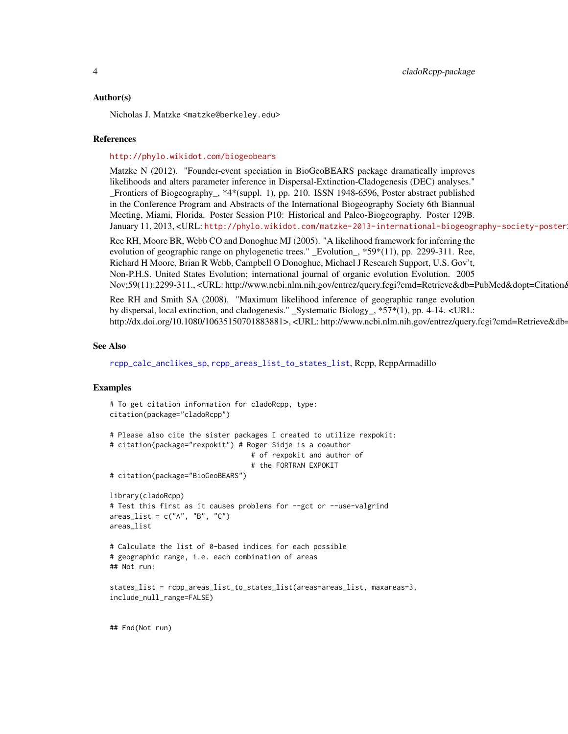#### <span id="page-3-0"></span>Author(s)

Nicholas J. Matzke <matzke@berkeley.edu>

#### References

#### <http://phylo.wikidot.com/biogeobears>

Matzke N (2012). "Founder-event speciation in BioGeoBEARS package dramatically improves likelihoods and alters parameter inference in Dispersal-Extinction-Cladogenesis (DEC) analyses." \_Frontiers of Biogeography\_, \*4\*(suppl. 1), pp. 210. ISSN 1948-6596, Poster abstract published in the Conference Program and Abstracts of the International Biogeography Society 6th Biannual Meeting, Miami, Florida. Poster Session P10: Historical and Paleo-Biogeography. Poster 129B. January 11, 2013, <URL: <http://phylo.wikidot.com/matzke-2013-international-biogeography-society-poster>>. Ree RH, Moore BR, Webb CO and Donoghue MJ (2005). "A likelihood framework for inferring the evolution of geographic range on phylogenetic trees." \_Evolution\_, \*59\*(11), pp. 2299-311. Ree, Richard H Moore, Brian R Webb, Campbell O Donoghue, Michael J Research Support, U.S. Gov't, Non-P.H.S. United States Evolution; international journal of organic evolution Evolution. 2005 Nov;59(11):2299-311., <URL: http://www.ncbi.nlm.nih.gov/entrez/query.fcgi?cmd=Retrieve&db=PubMed&dopt=Citationd

Ree RH and Smith SA (2008). "Maximum likelihood inference of geographic range evolution by dispersal, local extinction, and cladogenesis." \_Systematic Biology\_, \*57\*(1), pp. 4-14. <URL: http://dx.doi.org/10.1080/10635150701883881>, <URL: http://www.ncbi.nlm.nih.gov/entrez/query.fcgi?cmd=Retrieve&db=

#### See Also

[rcpp\\_calc\\_anclikes\\_sp](#page-22-1), [rcpp\\_areas\\_list\\_to\\_states\\_list](#page-21-1), Rcpp, RcppArmadillo

## Examples

```
# To get citation information for cladoRcpp, type:
citation(package="cladoRcpp")
# Please also cite the sister packages I created to utilize rexpokit:
# citation(package="rexpokit") # Roger Sidje is a coauthor
                                  # of rexpokit and author of
                                  # the FORTRAN EXPOKIT
# citation(package="BioGeoBEARS")
library(cladoRcpp)
# Test this first as it causes problems for --gct or --use-valgrind
areas_list = c("A", "B", "C")areas_list
# Calculate the list of 0-based indices for each possible
# geographic range, i.e. each combination of areas
## Not run:
states_list = rcpp_areas_list_to_states_list(areas=areas_list, maxareas=3,
include_null_range=FALSE)
```
## End(Not run)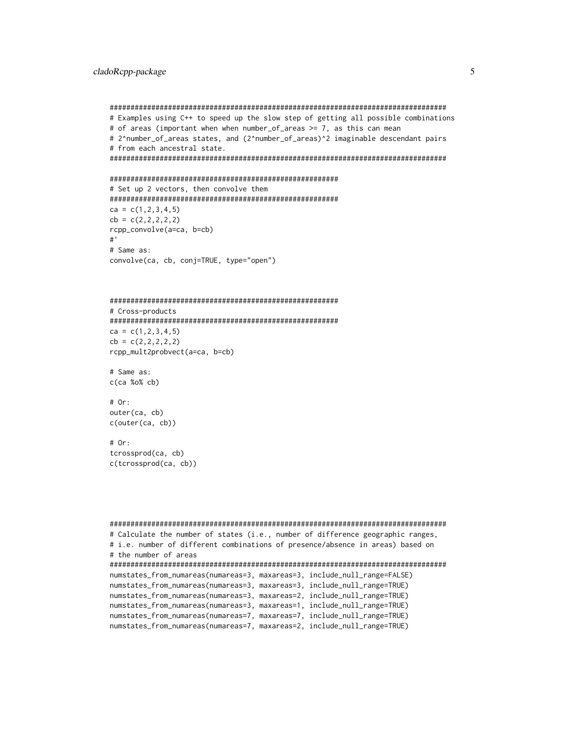```
#################################################################################
# Examples using C++ to speed up the slow step of getting all possible combinations
# of areas (important when when number_of_areas >= 7, as this can mean
# 2^number_of_areas states, and (2^number_of_areas)^2 imaginable descendant pairs
# from each ancestral state.
#################################################################################
#######################################################
# Set up 2 vectors, then convolve them
#######################################################
ca = c(1, 2, 3, 4, 5)cb = c(2, 2, 2, 2, 2)rcpp_convolve(a=ca, b=cb)
#'
# Same as:
convolve(ca, cb, conj=TRUE, type="open")
#######################################################
# Cross-products
#######################################################
ca = c(1, 2, 3, 4, 5)cb = c(2, 2, 2, 2, 2)rcpp_mult2probvect(a=ca, b=cb)
# Same as:
c(ca %o% cb)
# Or:
outer(ca, cb)
c(outer(ca, cb))
# Or:
tcrossprod(ca, cb)
c(tcrossprod(ca, cb))
```

```
#################################################################################
# Calculate the number of states (i.e., number of difference geographic ranges,
# i.e. number of different combinations of presence/absence in areas) based on
# the number of areas
#################################################################################
numstates_from_numareas(numareas=3, maxareas=3, include_null_range=FALSE)
numstates_from_numareas(numareas=3, maxareas=3, include_null_range=TRUE)
numstates_from_numareas(numareas=3, maxareas=2, include_null_range=TRUE)
numstates_from_numareas(numareas=3, maxareas=1, include_null_range=TRUE)
numstates_from_numareas(numareas=7, maxareas=7, include_null_range=TRUE)
numstates_from_numareas(numareas=7, maxareas=2, include_null_range=TRUE)
```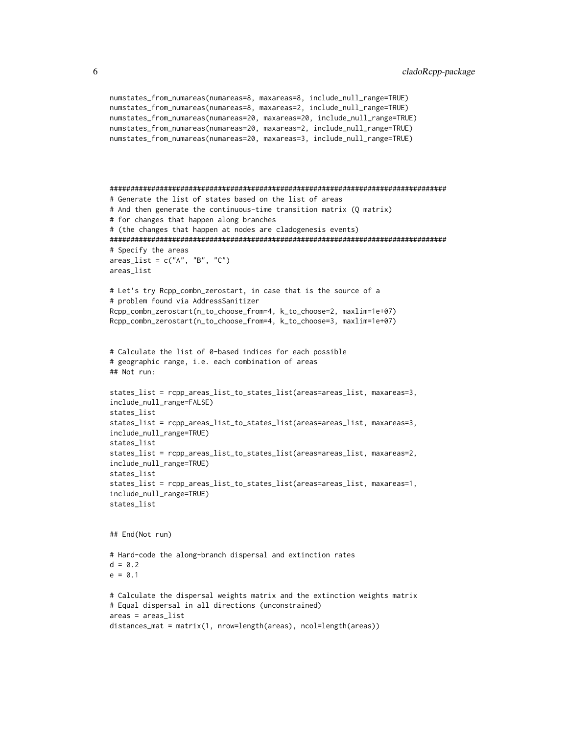```
numstates_from_numareas(numareas=8, maxareas=8, include_null_range=TRUE)
numstates_from_numareas(numareas=8, maxareas=2, include_null_range=TRUE)
numstates_from_numareas(numareas=20, maxareas=20, include_null_range=TRUE)
numstates_from_numareas(numareas=20, maxareas=2, include_null_range=TRUE)
numstates_from_numareas(numareas=20, maxareas=3, include_null_range=TRUE)
#################################################################################
# Generate the list of states based on the list of areas
# And then generate the continuous-time transition matrix (Q matrix)
# for changes that happen along branches
# (the changes that happen at nodes are cladogenesis events)
#################################################################################
# Specify the areas
areas\_list = c("A", "B", "C")areas_list
# Let's try Rcpp_combn_zerostart, in case that is the source of a
# problem found via AddressSanitizer
Rcpp_combn_zerostart(n_to_choose_from=4, k_to_choose=2, maxlim=1e+07)
Rcpp_combn_zerostart(n_to_choose_from=4, k_to_choose=3, maxlim=1e+07)
# Calculate the list of 0-based indices for each possible
# geographic range, i.e. each combination of areas
## Not run:
states_list = rcpp_areas_list_to_states_list(areas=areas_list, maxareas=3,
include_null_range=FALSE)
states_list
states_list = rcpp_areas_list_to_states_list(areas=areas_list, maxareas=3,
include_null_range=TRUE)
states_list
states_list = rcpp_areas_list_to_states_list(areas=areas_list, maxareas=2,
include_null_range=TRUE)
states_list
states_list = rcpp_areas_list_to_states_list(areas=areas_list, maxareas=1,
include_null_range=TRUE)
states_list
## End(Not run)
# Hard-code the along-branch dispersal and extinction rates
d = 0.2e = 0.1# Calculate the dispersal weights matrix and the extinction weights matrix
# Equal dispersal in all directions (unconstrained)
areas = areas_list
distances_mat = matrix(1, nrow=length(areas), ncol=length(areas))
```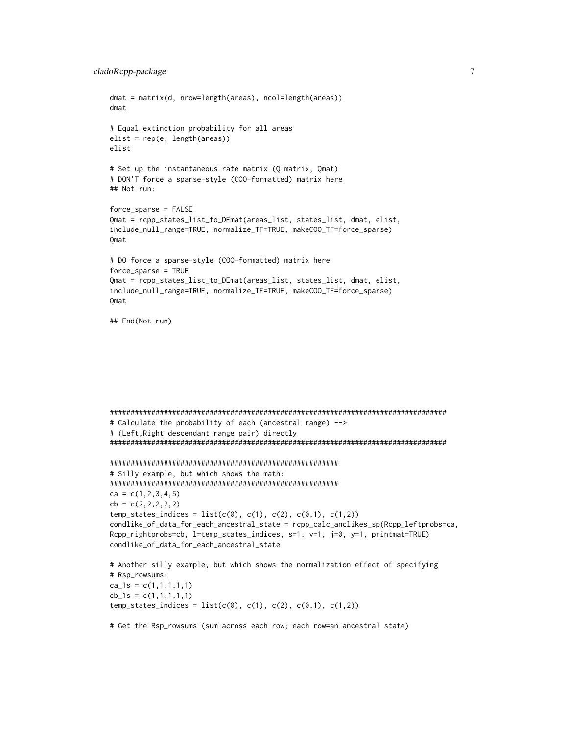```
dmat = matrix(d, nrow=length(areas), ncol=length(areas))
dmat
# Equal extinction probability for all areas
elist = rep(e, length(areas))
elist
# Set up the instantaneous rate matrix (Q matrix, Qmat)
# DON'T force a sparse-style (COO-formatted) matrix here
## Not run:
force_sparse = FALSE
Qmat = rcpp_states_list_to_DEmat(areas_list, states_list, dmat, elist,
include_null_range=TRUE, normalize_TF=TRUE, makeCOO_TF=force_sparse)
Qmat
# DO force a sparse-style (COO-formatted) matrix here
force_sparse = TRUE
Qmat = rcpp_states_list_to_DEmat(areas_list, states_list, dmat, elist,
include_null_range=TRUE, normalize_TF=TRUE, makeCOO_TF=force_sparse)
Qmat
## End(Not run)
#################################################################################
# Calculate the probability of each (ancestral range) -->
# (Left,Right descendant range pair) directly
#################################################################################
#######################################################
# Silly example, but which shows the math:
#######################################################
ca = c(1, 2, 3, 4, 5)cb = c(2, 2, 2, 2, 2)temp\_states\_indices = list(c(0), c(1), c(2), c(0,1), c(1,2))condlike_of_data_for_each_ancestral_state = rcpp_calc_anclikes_sp(Rcpp_leftprobs=ca,
Rcpp_rightprobs=cb, l=temp_states_indices, s=1, v=1, j=0, y=1, printmat=TRUE)
condlike_of_data_for_each_ancestral_state
# Another silly example, but which shows the normalization effect of specifying
# Rsp_rowsums:
ca_1s = c(1,1,1,1,1)cb_1s = c(1,1,1,1,1)temp_{states\_indices} = list(c(0), c(1), c(2), c(0,1), c(1,2))
```
# Get the Rsp\_rowsums (sum across each row; each row=an ancestral state)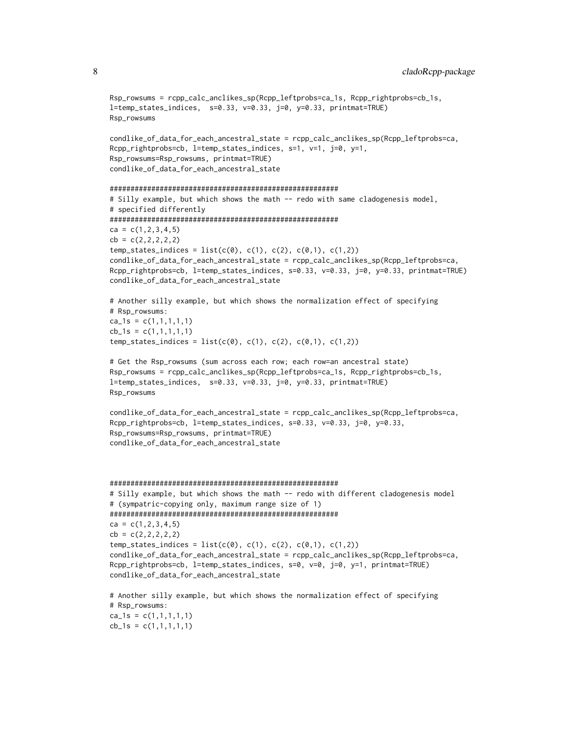```
Rsp_rowsums = rcpp_calc_anclikes_sp(Rcpp_leftprobs=ca_1s, Rcpp_rightprobs=cb_1s,
l=temp_states_indices, s=0.33, v=0.33, j=0, y=0.33, printmat=TRUE)
Rsp_rowsums
```

```
condlike_of_data_for_each_ancestral_state = rcpp_calc_anclikes_sp(Rcpp_leftprobs=ca,
Rcpp_rightprobs=cb, l=temp_states_indices, s=1, v=1, j=0, y=1,
Rsp_rowsums=Rsp_rowsums, printmat=TRUE)
condlike_of_data_for_each_ancestral_state
```

```
#######################################################
# Silly example, but which shows the math -- redo with same cladogenesis model,
# specified differently
#######################################################
ca = c(1, 2, 3, 4, 5)cb = c(2, 2, 2, 2, 2)temp_{states\_indices} = list(c(0), c(1), c(2), c(0,1), c(1,2))condlike_of_data_for_each_ancestral_state = rcpp_calc_anclikes_sp(Rcpp_leftprobs=ca,
Rcpp_rightprobs=cb, l=temp_states_indices, s=0.33, v=0.33, j=0, y=0.33, printmat=TRUE)
condlike_of_data_for_each_ancestral_state
```

```
# Another silly example, but which shows the normalization effect of specifying
# Rsp_rowsums:
ca_1s = c(1,1,1,1,1)cb_1s = c(1,1,1,1,1)temp_{states\_indices} = list(c(0), c(1), c(2), c(0,1), c(1,2))
```

```
# Get the Rsp_rowsums (sum across each row; each row=an ancestral state)
Rsp_rowsums = rcpp_calc_anclikes_sp(Rcpp_leftprobs=ca_1s, Rcpp_rightprobs=cb_1s,
l=temp_states_indices, s=0.33, v=0.33, j=0, y=0.33, printmat=TRUE)
Rsp_rowsums
```

```
condlike_of_data_for_each_ancestral_state = rcpp_calc_anclikes_sp(Rcpp_leftprobs=ca,
Rcpp_rightprobs=cb, l=temp_states_indices, s=0.33, v=0.33, j=0, y=0.33,
Rsp_rowsums=Rsp_rowsums, printmat=TRUE)
condlike_of_data_for_each_ancestral_state
```

```
#######################################################
# Silly example, but which shows the math -- redo with different cladogenesis model
# (sympatric-copying only, maximum range size of 1)
#######################################################
ca = c(1, 2, 3, 4, 5)cb = c(2, 2, 2, 2, 2)temp_{states\_indices} = list(c(0), c(1), c(2), c(0,1), c(1,2))condlike_of_data_for_each_ancestral_state = rcpp_calc_anclikes_sp(Rcpp_leftprobs=ca,
Rcpp_rightprobs=cb, l=temp_states_indices, s=0, v=0, j=0, y=1, printmat=TRUE)
condlike_of_data_for_each_ancestral_state
```

```
# Another silly example, but which shows the normalization effect of specifying
# Rsp_rowsums:
ca_1s = c(1,1,1,1,1)cb_1s = c(1,1,1,1,1)
```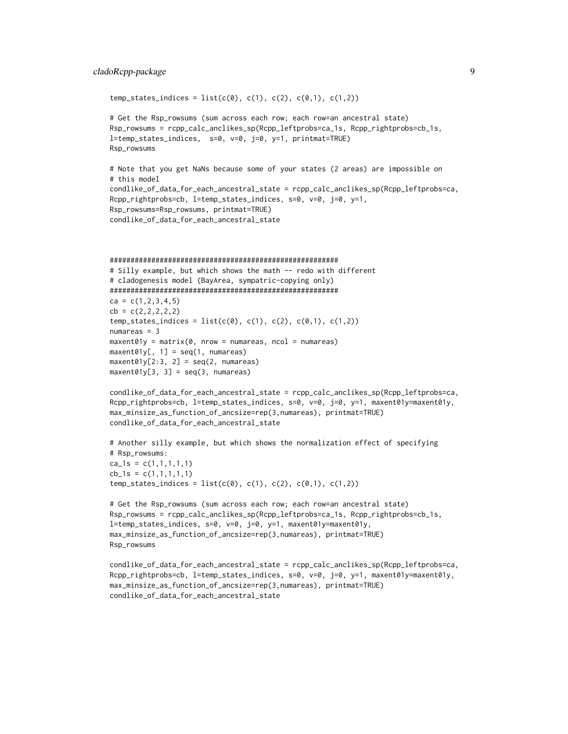## cladoRcpp-package 9

```
temp_{states\_indices} = list(c(0), c(1), c(2), c(0,1), c(1,2))
```

```
# Get the Rsp_rowsums (sum across each row; each row=an ancestral state)
Rsp_rowsums = rcpp_calc_anclikes_sp(Rcpp_leftprobs=ca_1s, Rcpp_rightprobs=cb_1s,
l=temp_states_indices, s=0, v=0, j=0, y=1, printmat=TRUE)
Rsp_rowsums
```

```
# Note that you get NaNs because some of your states (2 areas) are impossible on
# this model
condlike_of_data_for_each_ancestral_state = rcpp_calc_anclikes_sp(Rcpp_leftprobs=ca,
Rcpp_rightprobs=cb, l=temp_states_indices, s=0, v=0, j=0, y=1,
Rsp_rowsums=Rsp_rowsums, printmat=TRUE)
condlike_of_data_for_each_ancestral_state
```

```
#######################################################
# Silly example, but which shows the math -- redo with different
# cladogenesis model (BayArea, sympatric-copying only)
#######################################################
ca = c(1, 2, 3, 4, 5)cb = c(2, 2, 2, 2, 2)temp\_states\_indices = list(c(0), c(1), c(2), c(0,1), c(1,2))numareas = 3maxent01y = matrix(0, nrow = numareas, ncol = numareas)maxent01y[, 1] = seq(1, numareas)maxent01y[2:3, 2] = seq(2, numareas)maxent01y[3, 3] = seq(3, numareas)
```

```
condlike_of_data_for_each_ancestral_state = rcpp_calc_anclikes_sp(Rcpp_leftprobs=ca,
Rcpp_rightprobs=cb, l=temp_states_indices, s=0, v=0, j=0, y=1, maxent01y=maxent01y,
max_minsize_as_function_of_ancsize=rep(3,numareas), printmat=TRUE)
condlike_of_data_for_each_ancestral_state
```

```
# Another silly example, but which shows the normalization effect of specifying
# Rsp_rowsums:
ca_1s = c(1,1,1,1,1)cb_1s = c(1,1,1,1,1)temp_{states\_indices} = list(c(0), c(1), c(2), c(0,1), c(1,2))
```

```
# Get the Rsp_rowsums (sum across each row; each row=an ancestral state)
Rsp_rowsums = rcpp_calc_anclikes_sp(Rcpp_leftprobs=ca_1s, Rcpp_rightprobs=cb_1s,
l=temp_states_indices, s=0, v=0, j=0, y=1, maxent01y=maxent01y,
max_minsize_as_function_of_ancsize=rep(3,numareas), printmat=TRUE)
Rsp_rowsums
```

```
condlike_of_data_for_each_ancestral_state = rcpp_calc_anclikes_sp(Rcpp_leftprobs=ca,
Rcpp_rightprobs=cb, l=temp_states_indices, s=0, v=0, j=0, y=1, maxent01y=maxent01y,
max_minsize_as_function_of_ancsize=rep(3,numareas), printmat=TRUE)
condlike_of_data_for_each_ancestral_state
```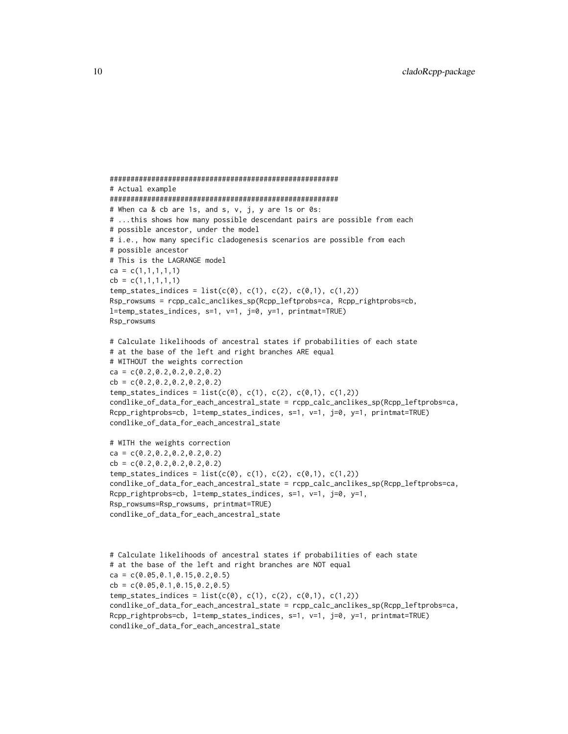```
#######################################################
# Actual example
#######################################################
# When ca & cb are 1s, and s, v, j, y are 1s or 0s:
# ...this shows how many possible descendant pairs are possible from each
# possible ancestor, under the model
# i.e., how many specific cladogenesis scenarios are possible from each
# possible ancestor
# This is the LAGRANGE model
ca = c(1,1,1,1,1)cb = c(1,1,1,1,1)temp_{states\_indices} = list(c(0), c(1), c(2), c(0,1), c(1,2))Rsp_rowsums = rcpp_calc_anclikes_sp(Rcpp_leftprobs=ca, Rcpp_rightprobs=cb,
l=temp_states_indices, s=1, v=1, j=0, y=1, printmat=TRUE)
Rsp_rowsums
# Calculate likelihoods of ancestral states if probabilities of each state
# at the base of the left and right branches ARE equal
# WITHOUT the weights correction
ca = c(0.2, 0.2, 0.2, 0.2, 0.2)cb = c(0.2, 0.2, 0.2, 0.2, 0.2)temp_{states\_indices} = list(c(0), c(1), c(2), c(0,1), c(1,2))condlike_of_data_for_each_ancestral_state = rcpp_calc_anclikes_sp(Rcpp_leftprobs=ca,
Rcpp_rightprobs=cb, l=temp_states_indices, s=1, v=1, j=0, y=1, printmat=TRUE)
condlike_of_data_for_each_ancestral_state
# WITH the weights correction
ca = c(0.2, 0.2, 0.2, 0.2, 0.2)cb = c(0.2, 0.2, 0.2, 0.2, 0.2)temp_{states\_indices} = list(c(0), c(1), c(2), c(0,1), c(1,2))condlike_of_data_for_each_ancestral_state = rcpp_calc_anclikes_sp(Rcpp_leftprobs=ca,
Rcpp_rightprobs=cb, l=temp_states_indices, s=1, v=1, j=0, y=1,
Rsp_rowsums=Rsp_rowsums, printmat=TRUE)
condlike_of_data_for_each_ancestral_state
# Calculate likelihoods of ancestral states if probabilities of each state
# at the base of the left and right branches are NOT equal
ca = c(0.05, 0.1, 0.15, 0.2, 0.5)
```

```
cb = c(0.05, 0.1, 0.15, 0.2, 0.5)
```

```
temp_{states\_indices} = list(c(0), c(1), c(2), c(0,1), c(1,2))condlike_of_data_for_each_ancestral_state = rcpp_calc_anclikes_sp(Rcpp_leftprobs=ca,
Rcpp_rightprobs=cb, l=temp_states_indices, s=1, v=1, j=0, y=1, printmat=TRUE)
condlike_of_data_for_each_ancestral_state
```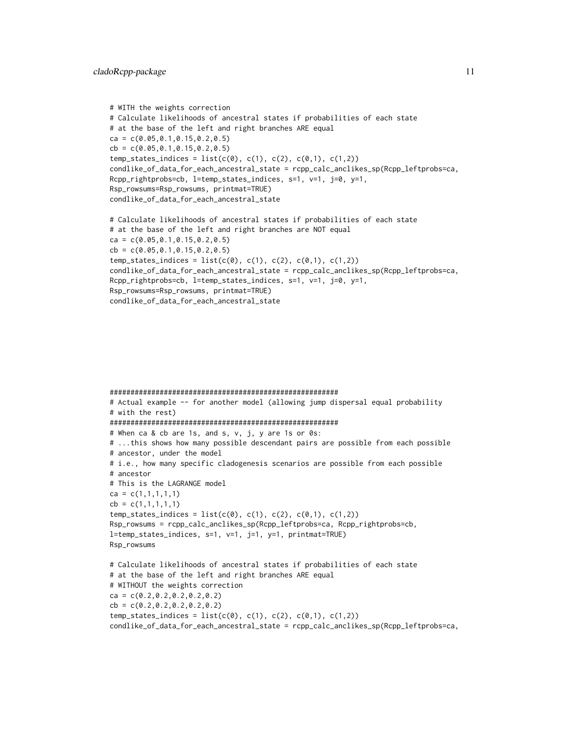```
# WITH the weights correction
# Calculate likelihoods of ancestral states if probabilities of each state
# at the base of the left and right branches ARE equal
ca = c(0.05, 0.1, 0.15, 0.2, 0.5)cb = c(0.05, 0.1, 0.15, 0.2, 0.5)temp_{states\_indices} = list(c(0), c(1), c(2), c(0,1), c(1,2))condlike_of_data_for_each_ancestral_state = rcpp_calc_anclikes_sp(Rcpp_leftprobs=ca,
Rcpp_rightprobs=cb, l=temp_states_indices, s=1, v=1, j=0, y=1,
Rsp_rowsums=Rsp_rowsums, printmat=TRUE)
condlike_of_data_for_each_ancestral_state
# Calculate likelihoods of ancestral states if probabilities of each state
# at the base of the left and right branches are NOT equal
ca = c(0.05, 0.1, 0.15, 0.2, 0.5)cb = c(0.05, 0.1, 0.15, 0.2, 0.5)
```

```
temp_{states\_indices} = list(c(0), c(1), c(2), c(0,1), c(1,2))condlike_of_data_for_each_ancestral_state = rcpp_calc_anclikes_sp(Rcpp_leftprobs=ca,
Rcpp_rightprobs=cb, l=temp_states_indices, s=1, v=1, j=0, y=1,
Rsp_rowsums=Rsp_rowsums, printmat=TRUE)
condlike_of_data_for_each_ancestral_state
```

```
#######################################################
# Actual example -- for another model (allowing jump dispersal equal probability
# with the rest)
#######################################################
# When ca & cb are 1s, and s, v, j, y are 1s or 0s:
# ...this shows how many possible descendant pairs are possible from each possible
# ancestor, under the model
# i.e., how many specific cladogenesis scenarios are possible from each possible
# ancestor
# This is the LAGRANGE model
ca = c(1,1,1,1,1)cb = c(1,1,1,1,1)temp\_states\_indices = list(c(0), c(1), c(2), c(0,1), c(1,2))Rsp_rowsums = rcpp_calc_anclikes_sp(Rcpp_leftprobs=ca, Rcpp_rightprobs=cb,
l=temp_states_indices, s=1, v=1, j=1, y=1, printmat=TRUE)
Rsp_rowsums
# Calculate likelihoods of ancestral states if probabilities of each state
# at the base of the left and right branches ARE equal
# WITHOUT the weights correction
ca = c(0.2,0.2,0.2,0.2,0.2)
cb = c(0.2, 0.2, 0.2, 0.2, 0.2)temp_{states\_indices} = list(c(0), c(1), c(2), c(0,1), c(1,2))condlike_of_data_for_each_ancestral_state = rcpp_calc_anclikes_sp(Rcpp_leftprobs=ca,
```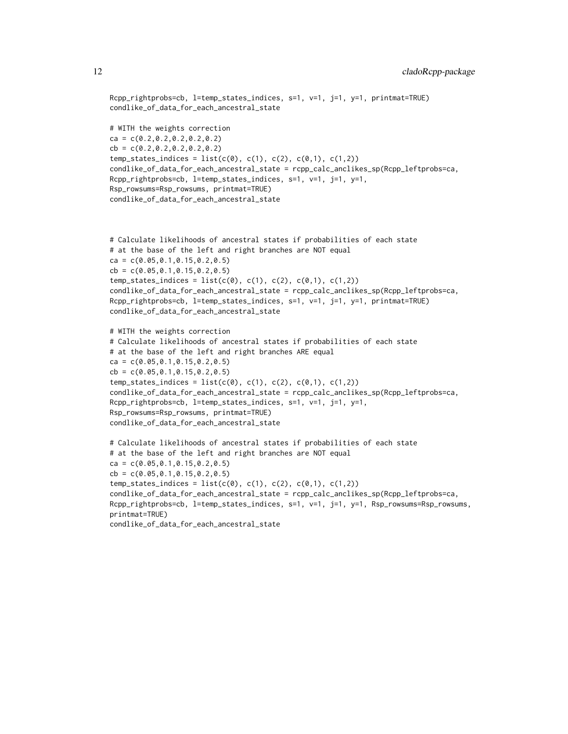```
Rcpp_rightprobs=cb, l=temp_states_indices, s=1, v=1, j=1, y=1, printmat=TRUE)
condlike_of_data_for_each_ancestral_state
# WITH the weights correction
ca = c(0.2, 0.2, 0.2, 0.2, 0.2)cb = c(0.2, 0.2, 0.2, 0.2, 0.2)temp_{states\_indices} = list(c(0), c(1), c(2), c(0,1), c(1,2))condlike_of_data_for_each_ancestral_state = rcpp_calc_anclikes_sp(Rcpp_leftprobs=ca,
Rcpp_rightprobs=cb, l=temp_states_indices, s=1, v=1, j=1, y=1,
Rsp_rowsums=Rsp_rowsums, printmat=TRUE)
condlike_of_data_for_each_ancestral_state
```

```
# Calculate likelihoods of ancestral states if probabilities of each state
# at the base of the left and right branches are NOT equal
ca = c(0.05, 0.1, 0.15, 0.2, 0.5)cb = c(0.05, 0.1, 0.15, 0.2, 0.5)temp_{states\_indices} = list(c(0), c(1), c(2), c(0,1), c(1,2))condlike_of_data_for_each_ancestral_state = rcpp_calc_anclikes_sp(Rcpp_leftprobs=ca,
Rcpp_rightprobs=cb, l=temp_states_indices, s=1, v=1, j=1, y=1, printmat=TRUE)
condlike_of_data_for_each_ancestral_state
```

```
# WITH the weights correction
# Calculate likelihoods of ancestral states if probabilities of each state
# at the base of the left and right branches ARE equal
ca = c(0.05, 0.1, 0.15, 0.2, 0.5)cb = c(0.05, 0.1, 0.15, 0.2, 0.5)temp_{states\_indices} = list(c(0), c(1), c(2), c(0,1), c(1,2))condlike_of_data_for_each_ancestral_state = rcpp_calc_anclikes_sp(Rcpp_leftprobs=ca,
Rcpp_rightprobs=cb, l=temp_states_indices, s=1, v=1, j=1, y=1,
Rsp_rowsums=Rsp_rowsums, printmat=TRUE)
condlike_of_data_for_each_ancestral_state
```

```
# Calculate likelihoods of ancestral states if probabilities of each state
# at the base of the left and right branches are NOT equal
ca = c(0.05,0.1,0.15,0.2,0.5)
cb = c(0.05, 0.1, 0.15, 0.2, 0.5)temp_{states\_indices} = list(c(0), c(1), c(2), c(0,1), c(1,2))condlike_of_data_for_each_ancestral_state = rcpp_calc_anclikes_sp(Rcpp_leftprobs=ca,
Rcpp_rightprobs=cb, l=temp_states_indices, s=1, v=1, j=1, y=1, Rsp_rowsums=Rsp_rowsums,
printmat=TRUE)
condlike_of_data_for_each_ancestral_state
```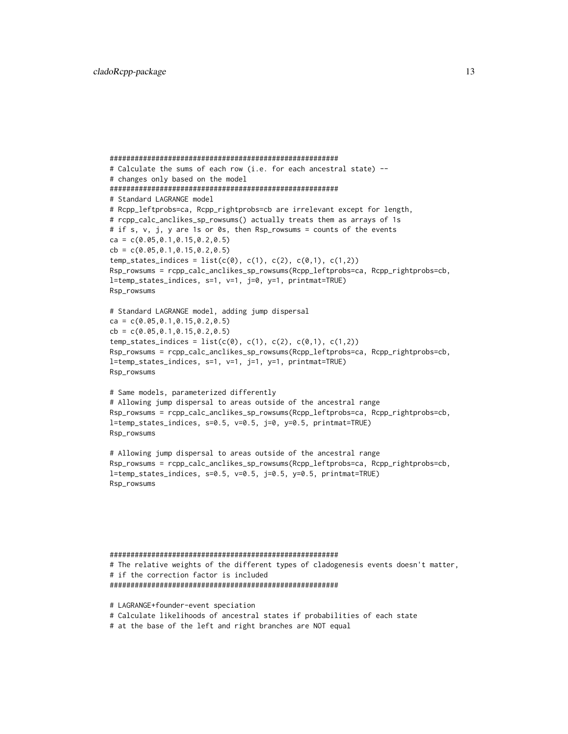```
#######################################################
# Calculate the sums of each row (i.e. for each ancestral state) --
# changes only based on the model
#######################################################
# Standard LAGRANGE model
# Rcpp_leftprobs=ca, Rcpp_rightprobs=cb are irrelevant except for length,
# rcpp_calc_anclikes_sp_rowsums() actually treats them as arrays of 1s
# if s, v, j, y are 1s or 0s, then Rsp_rowsums = counts of the events
ca = c(0.05, 0.1, 0.15, 0.2, 0.5)cb = c(0.05, 0.1, 0.15, 0.2, 0.5)temp_{states\_indices} = list(c(0), c(1), c(2), c(0,1), c(1,2))Rsp_rowsums = rcpp_calc_anclikes_sp_rowsums(Rcpp_leftprobs=ca, Rcpp_rightprobs=cb,
l=temp_states_indices, s=1, v=1, j=0, y=1, printmat=TRUE)
Rsp_rowsums
# Standard LAGRANGE model, adding jump dispersal
ca = c(0.05, 0.1, 0.15, 0.2, 0.5)cb = c(0.05, 0.1, 0.15, 0.2, 0.5)temp_{states\_indices} = list(c(0), c(1), c(2), c(0,1), c(1,2))Rsp_rowsums = rcpp_calc_anclikes_sp_rowsums(Rcpp_leftprobs=ca, Rcpp_rightprobs=cb,
l=temp_states_indices, s=1, v=1, j=1, y=1, printmat=TRUE)
Rsp_rowsums
# Same models, parameterized differently
# Allowing jump dispersal to areas outside of the ancestral range
Rsp_rowsums = rcpp_calc_anclikes_sp_rowsums(Rcpp_leftprobs=ca, Rcpp_rightprobs=cb,
l=temp_states_indices, s=0.5, v=0.5, j=0, y=0.5, printmat=TRUE)
Rsp_rowsums
# Allowing jump dispersal to areas outside of the ancestral range
Rsp_rowsums = rcpp_calc_anclikes_sp_rowsums(Rcpp_leftprobs=ca, Rcpp_rightprobs=cb,
l=temp_states_indices, s=0.5, v=0.5, j=0.5, y=0.5, printmat=TRUE)
Rsp_rowsums
```

```
#######################################################
# The relative weights of the different types of cladogenesis events doesn't matter,
# if the correction factor is included
#######################################################
```
# LAGRANGE+founder-event speciation # Calculate likelihoods of ancestral states if probabilities of each state # at the base of the left and right branches are NOT equal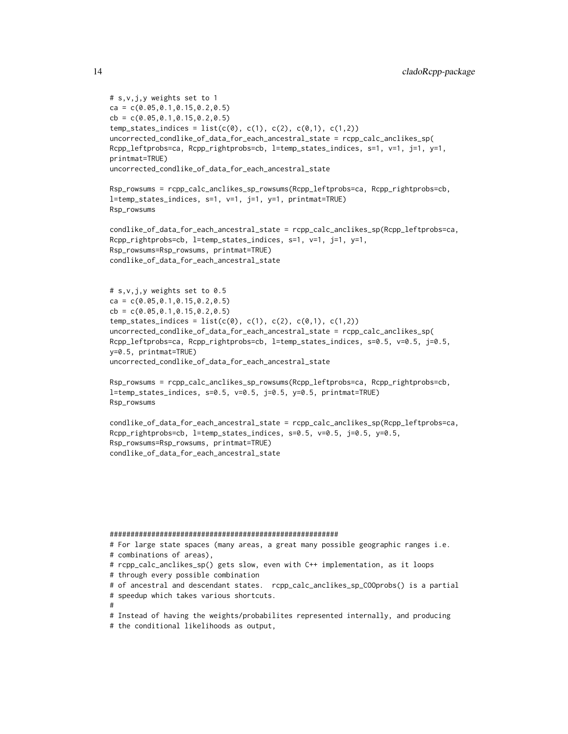```
# s,v,j,y weights set to 1
ca = c(0.05, 0.1, 0.15, 0.2, 0.5)cb = c(0.05, 0.1, 0.15, 0.2, 0.5)temp_{states\_indices} = list(c(0), c(1), c(2), c(0,1), c(1,2))uncorrected_condlike_of_data_for_each_ancestral_state = rcpp_calc_anclikes_sp(
Rcpp_leftprobs=ca, Rcpp_rightprobs=cb, l=temp_states_indices, s=1, v=1, j=1, y=1,
printmat=TRUE)
uncorrected_condlike_of_data_for_each_ancestral_state
Rsp_rowsums = rcpp_calc_anclikes_sp_rowsums(Rcpp_leftprobs=ca, Rcpp_rightprobs=cb,
l=temp_states_indices, s=1, v=1, j=1, y=1, printmat=TRUE)
Rsp_rowsums
condlike_of_data_for_each_ancestral_state = rcpp_calc_anclikes_sp(Rcpp_leftprobs=ca,
Rcpp_rightprobs=cb, l=temp_states_indices, s=1, v=1, j=1, y=1,
Rsp_rowsums=Rsp_rowsums, printmat=TRUE)
condlike_of_data_for_each_ancestral_state
# s,v,j,y weights set to 0.5
ca = c(0.05, 0.1, 0.15, 0.2, 0.5)cb = c(0.05, 0.1, 0.15, 0.2, 0.5)temp_{states\_indices} = list(c(0), c(1), c(2), c(0,1), c(1,2))uncorrected_condlike_of_data_for_each_ancestral_state = rcpp_calc_anclikes_sp(
Rcpp_leftprobs=ca, Rcpp_rightprobs=cb, l=temp_states_indices, s=0.5, v=0.5, j=0.5,
y=0.5, printmat=TRUE)
uncorrected_condlike_of_data_for_each_ancestral_state
Rsp_rowsums = rcpp_calc_anclikes_sp_rowsums(Rcpp_leftprobs=ca, Rcpp_rightprobs=cb,
l=temp_states_indices, s=0.5, v=0.5, j=0.5, y=0.5, printmat=TRUE)
Rsp_rowsums
condlike_of_data_for_each_ancestral_state = rcpp_calc_anclikes_sp(Rcpp_leftprobs=ca,
Rcpp_rightprobs=cb, l=temp_states_indices, s=0.5, v=0.5, j=0.5, y=0.5,
Rsp_rowsums=Rsp_rowsums, printmat=TRUE)
condlike_of_data_for_each_ancestral_state
#######################################################
# For large state spaces (many areas, a great many possible geographic ranges i.e.
# combinations of areas),
# rcpp_calc_anclikes_sp() gets slow, even with C++ implementation, as it loops
# through every possible combination
# of ancestral and descendant states. rcpp_calc_anclikes_sp_COOprobs() is a partial
# speedup which takes various shortcuts.
```
- #
- # Instead of having the weights/probabilites represented internally, and producing
- # the conditional likelihoods as output,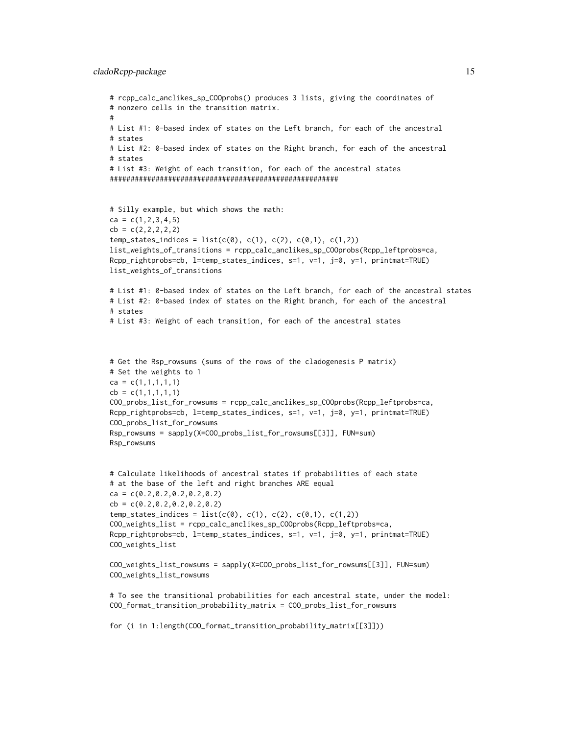#### cladoRcpp-package 15

```
# rcpp_calc_anclikes_sp_COOprobs() produces 3 lists, giving the coordinates of
# nonzero cells in the transition matrix.
#
# List #1: 0-based index of states on the Left branch, for each of the ancestral
# states
# List #2: 0-based index of states on the Right branch, for each of the ancestral
# states
# List #3: Weight of each transition, for each of the ancestral states
#######################################################
# Silly example, but which shows the math:
ca = c(1, 2, 3, 4, 5)cb = c(2, 2, 2, 2, 2)temp_{states\_indices} = list(c(0), c(1), c(2), c(0,1), c(1,2))list_weights_of_transitions = rcpp_calc_anclikes_sp_COOprobs(Rcpp_leftprobs=ca,
Rcpp_rightprobs=cb, l=temp_states_indices, s=1, v=1, j=0, y=1, printmat=TRUE)
list_weights_of_transitions
# List #1: 0-based index of states on the Left branch, for each of the ancestral states
# List #2: 0-based index of states on the Right branch, for each of the ancestral
# states
# List #3: Weight of each transition, for each of the ancestral states
# Get the Rsp_rowsums (sums of the rows of the cladogenesis P matrix)
# Set the weights to 1
ca = c(1,1,1,1,1)cb = c(1,1,1,1,1)COO_probs_list_for_rowsums = rcpp_calc_anclikes_sp_COOprobs(Rcpp_leftprobs=ca,
Rcpp_rightprobs=cb, l=temp_states_indices, s=1, v=1, j=0, y=1, printmat=TRUE)
COO_probs_list_for_rowsums
Rsp_rowsums = sapply(X=COO_probs_list_for_rowsums[[3]], FUN=sum)
Rsp_rowsums
# Calculate likelihoods of ancestral states if probabilities of each state
# at the base of the left and right branches ARE equal
ca = c(0.2, 0.2, 0.2, 0.2, 0.2)cb = c(0.2, 0.2, 0.2, 0.2, 0.2)temp\_states\_indices = list(c(0), c(1), c(2), c(0,1), c(1,2))COO_weights_list = rcpp_calc_anclikes_sp_COOprobs(Rcpp_leftprobs=ca,
Rcpp_rightprobs=cb, l=temp_states_indices, s=1, v=1, j=0, y=1, printmat=TRUE)
COO_weights_list
COO_weights_list_rowsums = sapply(X=COO_probs_list_for_rowsums[[3]], FUN=sum)
COO_weights_list_rowsums
# To see the transitional probabilities for each ancestral state, under the model:
COO_format_transition_probability_matrix = COO_probs_list_for_rowsums
for (i in 1:length(COO_format_transition_probability_matrix[[3]]))
```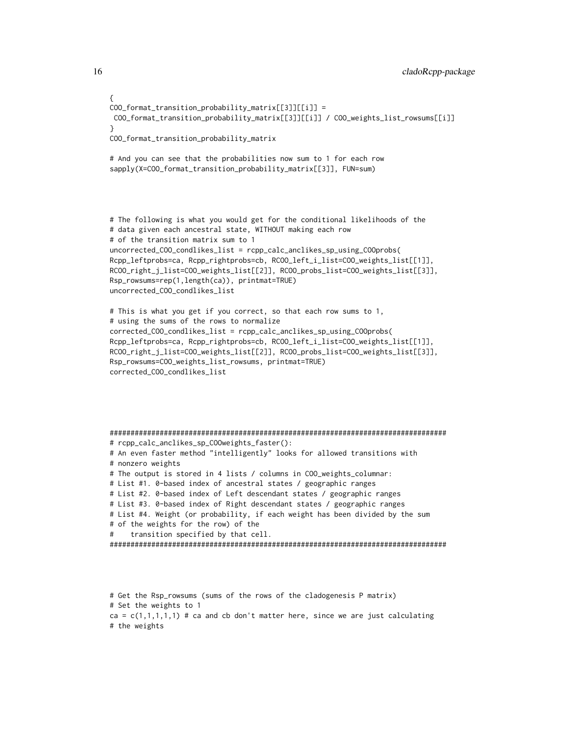```
{
COO_{r}format_transition_probability_matrix[[3]][[i]] =
COO_format_transition_probability_matrix[[3]][[i]] / COO_weights_list_rowsums[[i]]
}
COO_format_transition_probability_matrix
# And you can see that the probabilities now sum to 1 for each row
sapply(X=COO_format_transition_probability_matrix[[3]], FUN=sum)
# The following is what you would get for the conditional likelihoods of the
# data given each ancestral state, WITHOUT making each row
# of the transition matrix sum to 1
uncorrected_COO_condlikes_list = rcpp_calc_anclikes_sp_using_COOprobs(
Rcpp_leftprobs=ca, Rcpp_rightprobs=cb, RCOO_left_i_list=COO_weights_list[[1]],
RCOO_right_j_list=COO_weights_list[[2]], RCOO_probs_list=COO_weights_list[[3]],
Rsp_rowsums=rep(1,length(ca)), printmat=TRUE)
uncorrected_COO_condlikes_list
# This is what you get if you correct, so that each row sums to 1,
# using the sums of the rows to normalize
corrected_COO_condlikes_list = rcpp_calc_anclikes_sp_using_COOprobs(
Rcpp_leftprobs=ca, Rcpp_rightprobs=cb, RCOO_left_i_list=COO_weights_list[[1]],
RCOO_right_j_list=COO_weights_list[[2]], RCOO_probs_list=COO_weights_list[[3]],
Rsp_rowsums=COO_weights_list_rowsums, printmat=TRUE)
corrected_COO_condlikes_list
#################################################################################
# rcpp_calc_anclikes_sp_COOweights_faster():
# An even faster method "intelligently" looks for allowed transitions with
# nonzero weights
# The output is stored in 4 lists / columns in COO_weights_columnar:
# List #1. 0-based index of ancestral states / geographic ranges
# List #2. 0-based index of Left descendant states / geographic ranges
# List #3. 0-based index of Right descendant states / geographic ranges
# List #4. Weight (or probability, if each weight has been divided by the sum
# of the weights for the row) of the
# transition specified by that cell.
#################################################################################
```

```
# Get the Rsp_rowsums (sums of the rows of the cladogenesis P matrix)
# Set the weights to 1
ca = c(1,1,1,1,1) # ca and cb don't matter here, since we are just calculating
# the weights
```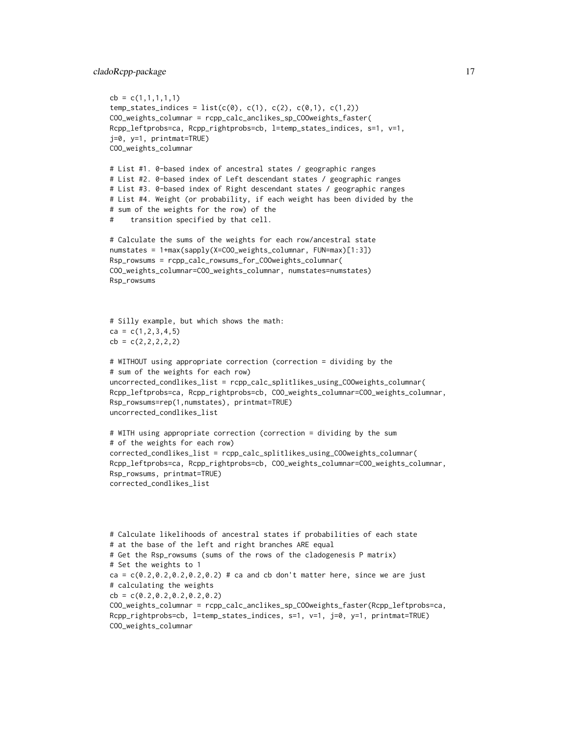```
cb = c(1,1,1,1,1)temp_{states\_indices} = list(c(0), c(1), c(2), c(0,1), c(1,2))COO_weights_columnar = rcpp_calc_anclikes_sp_COOweights_faster(
Rcpp_leftprobs=ca, Rcpp_rightprobs=cb, l=temp_states_indices, s=1, v=1,
j=0, y=1, printmat=TRUE)
COO_weights_columnar
# List #1. 0-based index of ancestral states / geographic ranges
# List #2. 0-based index of Left descendant states / geographic ranges
# List #3. 0-based index of Right descendant states / geographic ranges
# List #4. Weight (or probability, if each weight has been divided by the
# sum of the weights for the row) of the
# transition specified by that cell.
# Calculate the sums of the weights for each row/ancestral state
numstates = 1+max(sapply(X=COO_weights_columnar, FUN=max)[1:3])
Rsp_rowsums = rcpp_calc_rowsums_for_COOweights_columnar(
COO_weights_columnar=COO_weights_columnar, numstates=numstates)
Rsp_rowsums
# Silly example, but which shows the math:
ca = c(1, 2, 3, 4, 5)cb = c(2, 2, 2, 2, 2)# WITHOUT using appropriate correction (correction = dividing by the
# sum of the weights for each row)
uncorrected_condlikes_list = rcpp_calc_splitlikes_using_COOweights_columnar(
Rcpp_leftprobs=ca, Rcpp_rightprobs=cb, COO_weights_columnar=COO_weights_columnar,
Rsp_rowsums=rep(1,numstates), printmat=TRUE)
uncorrected_condlikes_list
# WITH using appropriate correction (correction = dividing by the sum
# of the weights for each row)
corrected_condlikes_list = rcpp_calc_splitlikes_using_COOweights_columnar(
Rcpp_leftprobs=ca, Rcpp_rightprobs=cb, COO_weights_columnar=COO_weights_columnar,
Rsp_rowsums, printmat=TRUE)
corrected_condlikes_list
# Calculate likelihoods of ancestral states if probabilities of each state
# at the base of the left and right branches ARE equal
# Get the Rsp_rowsums (sums of the rows of the cladogenesis P matrix)
# Set the weights to 1
ca = c(0.2, 0.2, 0.2, 0.2, 0.2) # ca and cb don't matter here, since we are just
# calculating the weights
cb = c(0.2, 0.2, 0.2, 0.2, 0.2)COO_weights_columnar = rcpp_calc_anclikes_sp_COOweights_faster(Rcpp_leftprobs=ca,
Rcpp_rightprobs=cb, l=temp_states_indices, s=1, v=1, j=0, y=1, printmat=TRUE)
```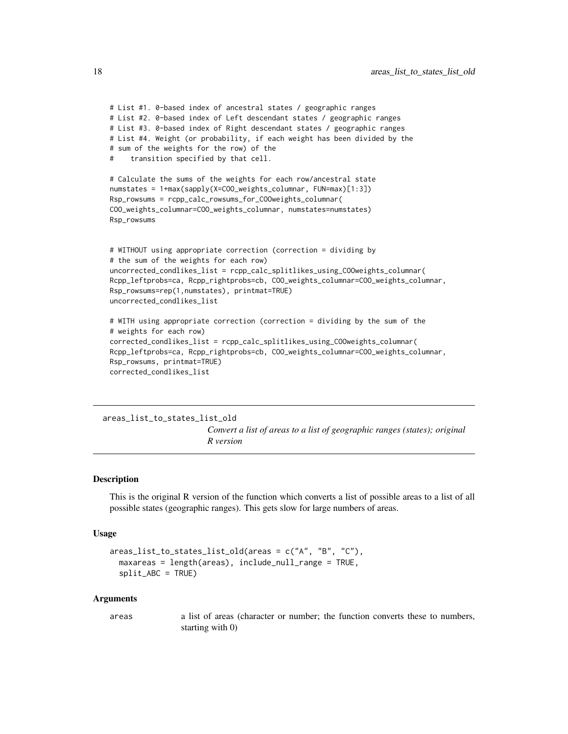```
# List #1. 0-based index of ancestral states / geographic ranges
# List #2. 0-based index of Left descendant states / geographic ranges
# List #3. 0-based index of Right descendant states / geographic ranges
# List #4. Weight (or probability, if each weight has been divided by the
# sum of the weights for the row) of the
# transition specified by that cell.
# Calculate the sums of the weights for each row/ancestral state
numstates = 1+max(sapply(X=COO_weights_columnar, FUN=max)[1:3])
Rsp_rowsums = rcpp_calc_rowsums_for_COOweights_columnar(
COO_weights_columnar=COO_weights_columnar, numstates=numstates)
Rsp_rowsums
# WITHOUT using appropriate correction (correction = dividing by
# the sum of the weights for each row)
uncorrected_condlikes_list = rcpp_calc_splitlikes_using_COOweights_columnar(
Rcpp_leftprobs=ca, Rcpp_rightprobs=cb, COO_weights_columnar=COO_weights_columnar,
Rsp_rowsums=rep(1,numstates), printmat=TRUE)
uncorrected_condlikes_list
# WITH using appropriate correction (correction = dividing by the sum of the
# weights for each row)
corrected_condlikes_list = rcpp_calc_splitlikes_using_COOweights_columnar(
Rcpp_leftprobs=ca, Rcpp_rightprobs=cb, COO_weights_columnar=COO_weights_columnar,
Rsp_rowsums, printmat=TRUE)
```
corrected\_condlikes\_list

#### <span id="page-17-1"></span>areas\_list\_to\_states\_list\_old

*Convert a list of areas to a list of geographic ranges (states); original R version*

#### Description

This is the original R version of the function which converts a list of possible areas to a list of all possible states (geographic ranges). This gets slow for large numbers of areas.

#### Usage

```
areas_list_to_states_list_old(areas = c("A", "B", "C"),
  maxareas = length(areas), include\_null\_range = TRUE,
  split_ABC = TRUE)
```
#### Arguments

areas a list of areas (character or number; the function converts these to numbers, starting with 0)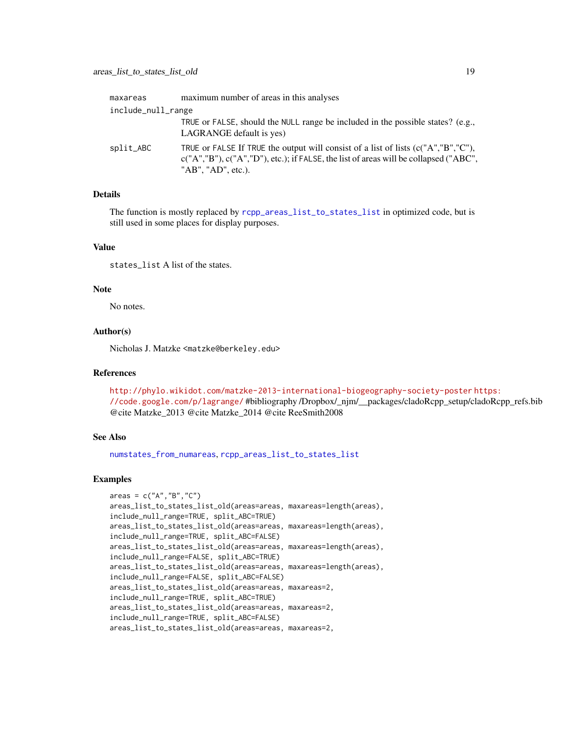<span id="page-18-0"></span>

| maxareas           | maximum number of areas in this analyses                                                                                                                                                                |
|--------------------|---------------------------------------------------------------------------------------------------------------------------------------------------------------------------------------------------------|
| include_null_range |                                                                                                                                                                                                         |
|                    | TRUE or FALSE, should the NULL range be included in the possible states? (e.g.,<br>LAGRANGE default is yes)                                                                                             |
| split_ABC          | TRUE or FALSE If TRUE the output will consist of a list of lists $(c("A", "B", "C"),$<br>$c("A", "B"), c("A", "D"), etc.);$ if FALSE, the list of areas will be collapsed ("ABC",<br>"AB", "AD", etc.). |

## Details

The function is mostly replaced by [rcpp\\_areas\\_list\\_to\\_states\\_list](#page-21-1) in optimized code, but is still used in some places for display purposes.

## Value

states list A list of the states.

## Note

No notes.

## Author(s)

Nicholas J. Matzke <matzke@berkeley.edu>

## References

<http://phylo.wikidot.com/matzke-2013-international-biogeography-society-poster> [h](https://code.google.com/p/lagrange/)ttps: [//code.google.com/p/lagrange/](https://code.google.com/p/lagrange/) #bibliography /Dropbox/\_njm/\_\_packages/cladoRcpp\_setup/cladoRcpp\_refs.bib @cite Matzke\_2013 @cite Matzke\_2014 @cite ReeSmith2008

## See Also

[numstates\\_from\\_numareas](#page-19-1), [rcpp\\_areas\\_list\\_to\\_states\\_list](#page-21-1)

## Examples

```
area = c("A", "B", "C")areas_list_to_states_list_old(areas=areas, maxareas=length(areas),
include_null_range=TRUE, split_ABC=TRUE)
areas_list_to_states_list_old(areas=areas, maxareas=length(areas),
include_null_range=TRUE, split_ABC=FALSE)
areas_list_to_states_list_old(areas=areas, maxareas=length(areas),
include_null_range=FALSE, split_ABC=TRUE)
areas_list_to_states_list_old(areas=areas, maxareas=length(areas),
include_null_range=FALSE, split_ABC=FALSE)
areas_list_to_states_list_old(areas=areas, maxareas=2,
include_null_range=TRUE, split_ABC=TRUE)
areas_list_to_states_list_old(areas=areas, maxareas=2,
include_null_range=TRUE, split_ABC=FALSE)
areas_list_to_states_list_old(areas=areas, maxareas=2,
```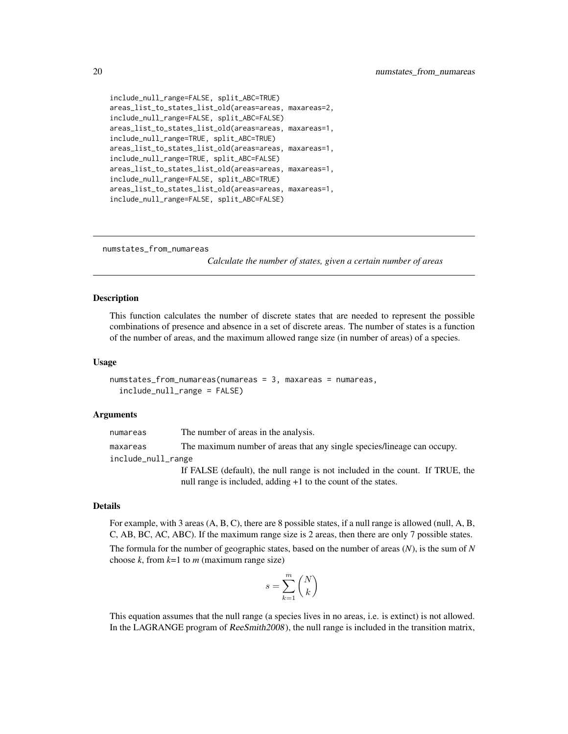```
include_null_range=FALSE, split_ABC=TRUE)
areas_list_to_states_list_old(areas=areas, maxareas=2,
include_null_range=FALSE, split_ABC=FALSE)
areas_list_to_states_list_old(areas=areas, maxareas=1,
include_null_range=TRUE, split_ABC=TRUE)
areas_list_to_states_list_old(areas=areas, maxareas=1,
include_null_range=TRUE, split_ABC=FALSE)
areas_list_to_states_list_old(areas=areas, maxareas=1,
include_null_range=FALSE, split_ABC=TRUE)
areas_list_to_states_list_old(areas=areas, maxareas=1,
include_null_range=FALSE, split_ABC=FALSE)
```
<span id="page-19-1"></span>numstates\_from\_numareas

*Calculate the number of states, given a certain number of areas*

#### Description

This function calculates the number of discrete states that are needed to represent the possible combinations of presence and absence in a set of discrete areas. The number of states is a function of the number of areas, and the maximum allowed range size (in number of areas) of a species.

#### Usage

```
numstates_from_numareas(numareas = 3, maxareas = numareas,
  include_null_range = FALSE)
```
#### Arguments

numareas The number of areas in the analysis. maxareas The maximum number of areas that any single species/lineage can occupy. include\_null\_range If FALSE (default), the null range is not included in the count. If TRUE, the null range is included, adding  $+1$  to the count of the states.

#### Details

For example, with 3 areas (A, B, C), there are 8 possible states, if a null range is allowed (null, A, B, C, AB, BC, AC, ABC). If the maximum range size is 2 areas, then there are only 7 possible states.

The formula for the number of geographic states, based on the number of areas (*N*), is the sum of *N* choose  $k$ , from  $k=1$  to  $m$  (maximum range size)

$$
s = \sum_{k=1}^m \binom{N}{k}
$$

This equation assumes that the null range (a species lives in no areas, i.e. is extinct) is not allowed. In the LAGRANGE program of ReeSmith2008), the null range is included in the transition matrix,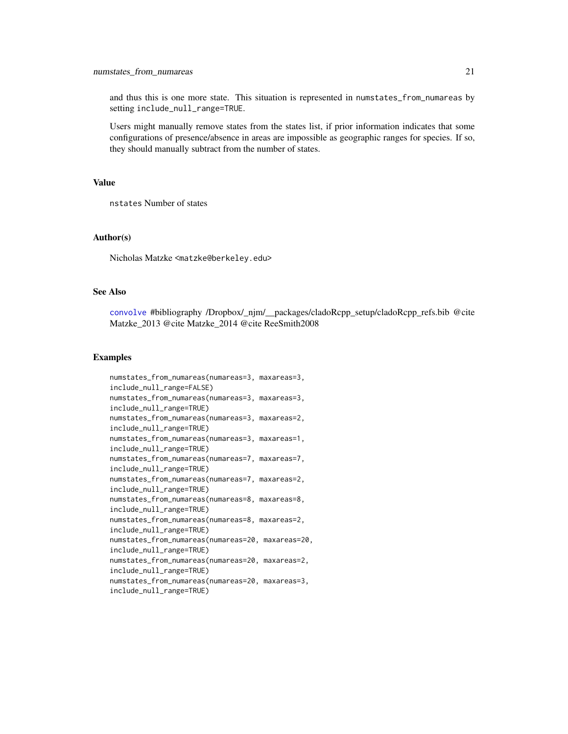<span id="page-20-0"></span>and thus this is one more state. This situation is represented in numstates\_from\_numareas by setting include\_null\_range=TRUE.

Users might manually remove states from the states list, if prior information indicates that some configurations of presence/absence in areas are impossible as geographic ranges for species. If so, they should manually subtract from the number of states.

## Value

nstates Number of states

#### Author(s)

Nicholas Matzke <matzke@berkeley.edu>

## See Also

[convolve](#page-0-0) #bibliography /Dropbox/\_njm/\_\_packages/cladoRcpp\_setup/cladoRcpp\_refs.bib @cite Matzke\_2013 @cite Matzke\_2014 @cite ReeSmith2008

## Examples

```
numstates_from_numareas(numareas=3, maxareas=3,
include_null_range=FALSE)
numstates_from_numareas(numareas=3, maxareas=3,
include_null_range=TRUE)
numstates_from_numareas(numareas=3, maxareas=2,
include_null_range=TRUE)
numstates_from_numareas(numareas=3, maxareas=1,
include_null_range=TRUE)
numstates_from_numareas(numareas=7, maxareas=7,
include_null_range=TRUE)
numstates_from_numareas(numareas=7, maxareas=2,
include_null_range=TRUE)
numstates_from_numareas(numareas=8, maxareas=8,
include_null_range=TRUE)
numstates_from_numareas(numareas=8, maxareas=2,
include_null_range=TRUE)
numstates_from_numareas(numareas=20, maxareas=20,
include_null_range=TRUE)
numstates_from_numareas(numareas=20, maxareas=2,
include_null_range=TRUE)
numstates_from_numareas(numareas=20, maxareas=3,
include_null_range=TRUE)
```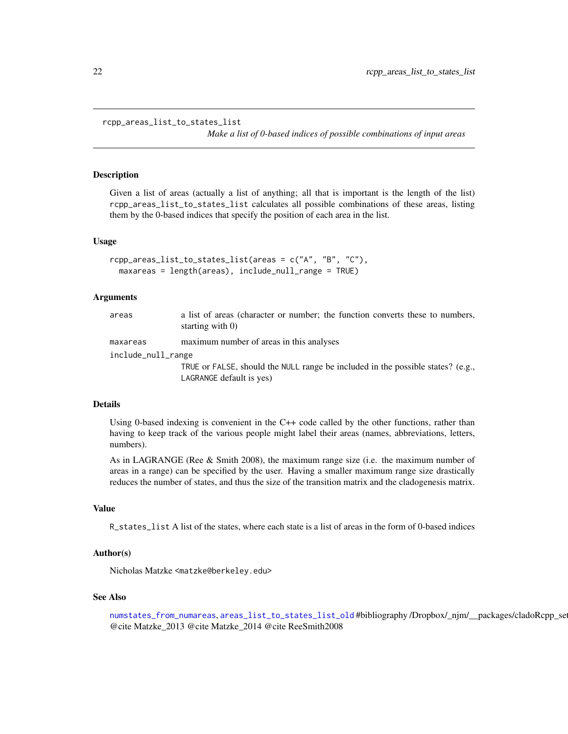```
rcpp_areas_list_to_states_list
```
*Make a list of 0-based indices of possible combinations of input areas*

#### Description

Given a list of areas (actually a list of anything; all that is important is the length of the list) rcpp\_areas\_list\_to\_states\_list calculates all possible combinations of these areas, listing them by the 0-based indices that specify the position of each area in the list.

#### Usage

```
rcpp_areas_list_to_states_list(areas = c("A", "B", "C"),
 maxareas = length(areas), include_null_range = TRUE)
```
#### Arguments

| areas              | a list of areas (character or number; the function converts these to numbers,<br>starting with $0$ )        |
|--------------------|-------------------------------------------------------------------------------------------------------------|
| maxareas           | maximum number of areas in this analyses                                                                    |
| include_null_range |                                                                                                             |
|                    | TRUE or FALSE, should the NULL range be included in the possible states? (e.g.,<br>LAGRANGE default is yes) |

#### Details

Using 0-based indexing is convenient in the C++ code called by the other functions, rather than having to keep track of the various people might label their areas (names, abbreviations, letters, numbers).

As in LAGRANGE (Ree  $\&$  Smith 2008), the maximum range size (i.e. the maximum number of areas in a range) can be specified by the user. Having a smaller maximum range size drastically reduces the number of states, and thus the size of the transition matrix and the cladogenesis matrix.

#### Value

R\_states\_list A list of the states, where each state is a list of areas in the form of 0-based indices

## Author(s)

Nicholas Matzke <matzke@berkeley.edu>

#### See Also

```
numstates_from_numareasareas_list_to_states_list_old #bibliography /Dropbox/_njm/__packages/cladoRcpp_se
@cite Matzke_2013 @cite Matzke_2014 @cite ReeSmith2008
```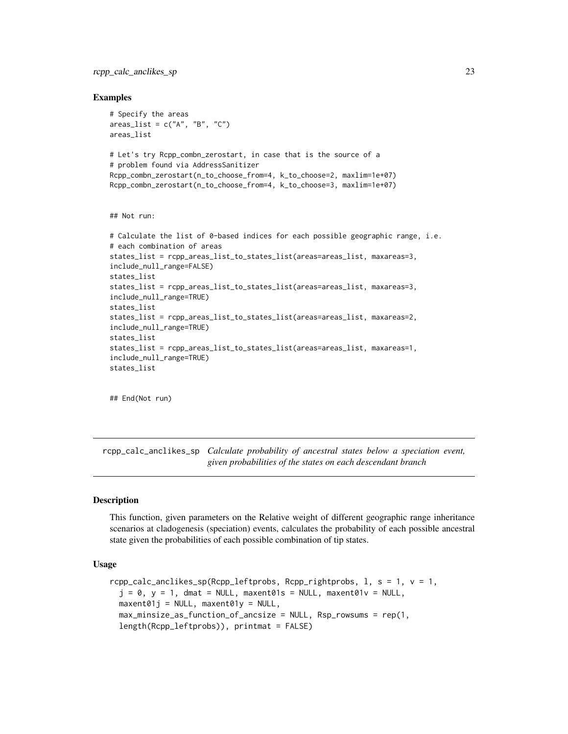<span id="page-22-0"></span>rcpp\_calc\_anclikes\_sp 23

#### Examples

```
# Specify the areas
areas_list = c("A", "B", "C")areas_list
# Let's try Rcpp_combn_zerostart, in case that is the source of a
# problem found via AddressSanitizer
Rcpp_combn_zerostart(n_to_choose_from=4, k_to_choose=2, maxlim=1e+07)
Rcpp_combn_zerostart(n_to_choose_from=4, k_to_choose=3, maxlim=1e+07)
## Not run:
# Calculate the list of 0-based indices for each possible geographic range, i.e.
# each combination of areas
states_list = rcpp_areas_list_to_states_list(areas=areas_list, maxareas=3,
include_null_range=FALSE)
states_list
states_list = rcpp_areas_list_to_states_list(areas=areas_list, maxareas=3,
include_null_range=TRUE)
states_list
states_list = rcpp_areas_list_to_states_list(areas=areas_list, maxareas=2,
include_null_range=TRUE)
states_list
states_list = rcpp_areas_list_to_states_list(areas=areas_list, maxareas=1,
include_null_range=TRUE)
states_list
```
## End(Not run)

<span id="page-22-1"></span>rcpp\_calc\_anclikes\_sp *Calculate probability of ancestral states below a speciation event, given probabilities of the states on each descendant branch*

#### Description

This function, given parameters on the Relative weight of different geographic range inheritance scenarios at cladogenesis (speciation) events, calculates the probability of each possible ancestral state given the probabilities of each possible combination of tip states.

#### Usage

```
rcpp_calc_anclikes_sp(Rcpp_leftprobs, Rcpp_rightprobs, l, s = 1, v = 1,
 j = 0, y = 1, dmat = NULL, maxent01s = NULL, maxent01v = NULL,
 maxent01j = NULL, maxent01y = NULL,max_minsize_as_function_of_ancsize = NULL, Rsp_rowsums = rep(1,
 length(Rcpp_leftprobs)), printmat = FALSE)
```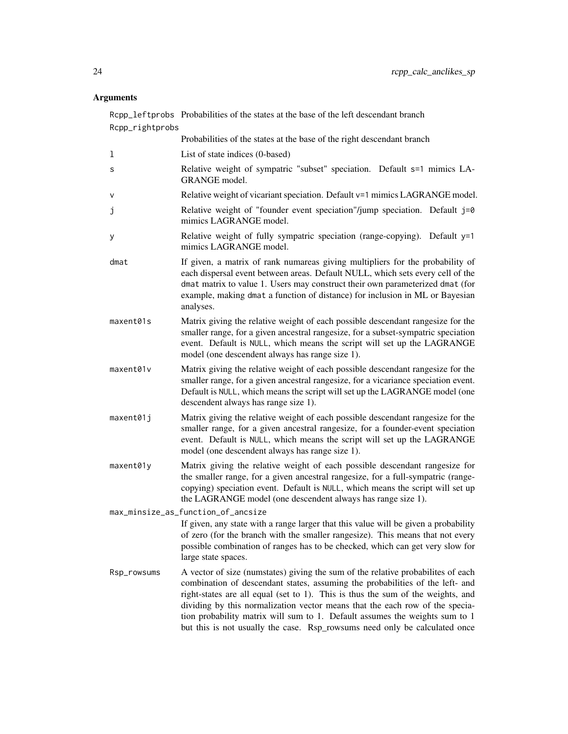#### Arguments

Rcpp\_leftprobs Probabilities of the states at the base of the left descendant branch Rcpp\_rightprobs Probabilities of the states at the base of the right descendant branch l List of state indices (0-based) s Relative weight of sympatric "subset" speciation. Default s=1 mimics LA-GRANGE model. v Relative weight of vicariant speciation. Default v=1 mimics LAGRANGE model. j Relative weight of "founder event speciation"/jump speciation. Default j=0 mimics LAGRANGE model. y Relative weight of fully sympatric speciation (range-copying). Default y=1 mimics LAGRANGE model. dmat If given, a matrix of rank numareas giving multipliers for the probability of each dispersal event between areas. Default NULL, which sets every cell of the dmat matrix to value 1. Users may construct their own parameterized dmat (for example, making dmat a function of distance) for inclusion in ML or Bayesian analyses. maxent01s Matrix giving the relative weight of each possible descendant rangesize for the smaller range, for a given ancestral rangesize, for a subset-sympatric speciation event. Default is NULL, which means the script will set up the LAGRANGE model (one descendent always has range size 1). maxent01v Matrix giving the relative weight of each possible descendant rangesize for the smaller range, for a given ancestral rangesize, for a vicariance speciation event. Default is NULL, which means the script will set up the LAGRANGE model (one descendent always has range size 1). maxent01j Matrix giving the relative weight of each possible descendant rangesize for the smaller range, for a given ancestral rangesize, for a founder-event speciation event. Default is NULL, which means the script will set up the LAGRANGE model (one descendent always has range size 1). maxent01y Matrix giving the relative weight of each possible descendant rangesize for the smaller range, for a given ancestral rangesize, for a full-sympatric (rangecopying) speciation event. Default is NULL, which means the script will set up the LAGRANGE model (one descendent always has range size 1). max\_minsize\_as\_function\_of\_ancsize If given, any state with a range larger that this value will be given a probability of zero (for the branch with the smaller rangesize). This means that not every possible combination of ranges has to be checked, which can get very slow for large state spaces. Rsp\_rowsums A vector of size (numstates) giving the sum of the relative probabilites of each combination of descendant states, assuming the probabilities of the left- and right-states are all equal (set to 1). This is thus the sum of the weights, and dividing by this normalization vector means that the each row of the speciation probability matrix will sum to 1. Default assumes the weights sum to 1 but this is not usually the case. Rsp\_rowsums need only be calculated once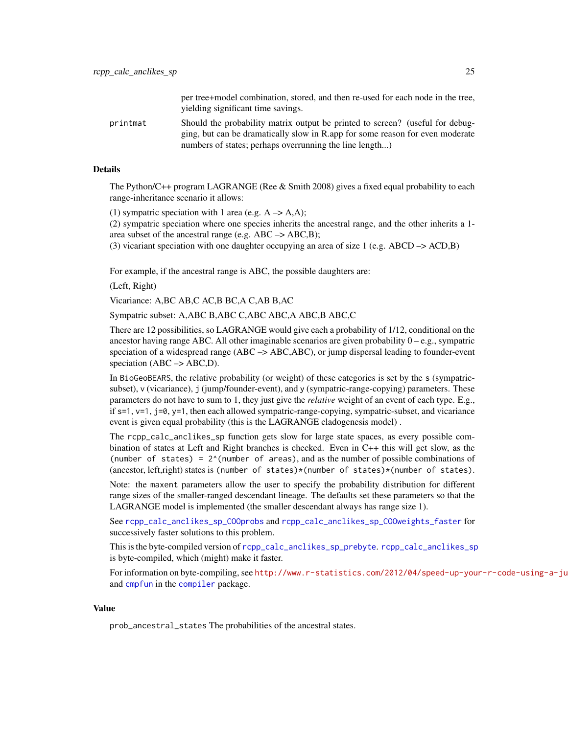per tree+model combination, stored, and then re-used for each node in the tree, yielding significant time savings.

<span id="page-24-0"></span>printmat Should the probability matrix output be printed to screen? (useful for debugging, but can be dramatically slow in R.app for some reason for even moderate numbers of states; perhaps overrunning the line length...)

#### Details

The Python/C++ program LAGRANGE (Ree & Smith 2008) gives a fixed equal probability to each range-inheritance scenario it allows:

(1) sympatric speciation with 1 area (e.g.  $A \rightarrow A, A$ );

(2) sympatric speciation where one species inherits the ancestral range, and the other inherits a 1 area subset of the ancestral range (e.g.  $ABC \rightarrow ABC, B$ );

(3) vicariant speciation with one daughter occupying an area of size 1 (e.g. ABCD  $\rightarrow$  ACD,B)

For example, if the ancestral range is ABC, the possible daughters are:

(Left, Right)

Vicariance: A,BC AB,C AC,B BC,A C,AB B,AC

Sympatric subset: A,ABC B,ABC C,ABC ABC,A ABC,B ABC,C

There are 12 possibilities, so LAGRANGE would give each a probability of 1/12, conditional on the ancestor having range ABC. All other imaginable scenarios are given probability  $0 - e.g.,$  sympatric speciation of a widespread range (ABC –> ABC,ABC), or jump dispersal leading to founder-event speciation ( $ABC \rightarrow ABC, D$ ).

In BioGeoBEARS, the relative probability (or weight) of these categories is set by the s (sympatricsubset), v (vicariance), j (jump/founder-event), and y (sympatric-range-copying) parameters. These parameters do not have to sum to 1, they just give the *relative* weight of an event of each type. E.g., if s=1, v=1, j=0, y=1, then each allowed sympatric-range-copying, sympatric-subset, and vicariance event is given equal probability (this is the LAGRANGE cladogenesis model) .

The rcpp\_calc\_anclikes\_sp function gets slow for large state spaces, as every possible combination of states at Left and Right branches is checked. Even in C++ this will get slow, as the (number of states) =  $2^{\wedge}$ (number of areas), and as the number of possible combinations of (ancestor, left,right) states is (number of states)\*(number of states)\*(number of states).

Note: the maxent parameters allow the user to specify the probability distribution for different range sizes of the smaller-ranged descendant lineage. The defaults set these parameters so that the LAGRANGE model is implemented (the smaller descendant always has range size 1).

See [rcpp\\_calc\\_anclikes\\_sp\\_COOprobs](#page-25-1) and [rcpp\\_calc\\_anclikes\\_sp\\_COOweights\\_faster](#page-27-1) for successively faster solutions to this problem.

This is the byte-compiled version of [rcpp\\_calc\\_anclikes\\_sp\\_prebyte](#page-30-1). [rcpp\\_calc\\_anclikes\\_sp](#page-22-1) is byte-compiled, which (might) make it faster.

For information on byte-compiling, see http://www.r-statistics.com/2012/04/speed-up-your-r-code-using-a-ju and [cmpfun](#page-0-0) in the [compiler](#page-0-0) package.

#### Value

prob\_ancestral\_states The probabilities of the ancestral states.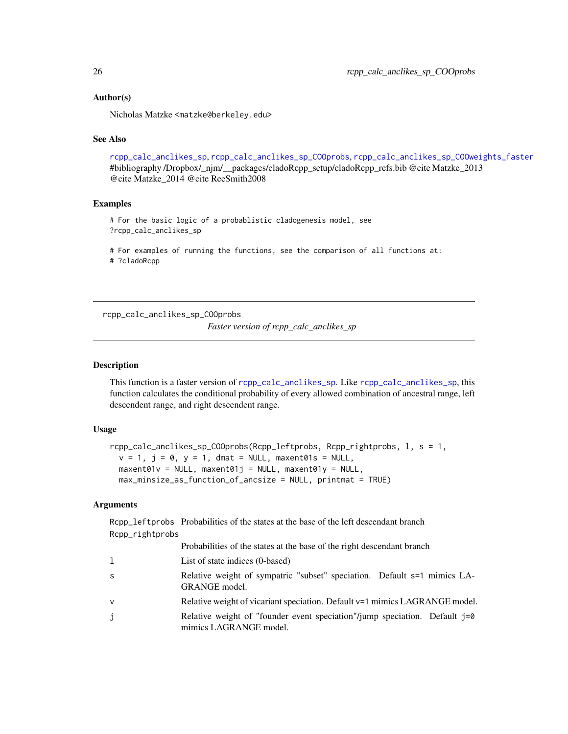#### <span id="page-25-0"></span>Author(s)

Nicholas Matzke <matzke@berkeley.edu>

#### See Also

[rcpp\\_calc\\_anclikes\\_sp](#page-22-1), [rcpp\\_calc\\_anclikes\\_sp\\_COOprobs](#page-25-1), [rcpp\\_calc\\_anclikes\\_sp\\_COOweights\\_faster](#page-27-1) #bibliography /Dropbox/\_njm/\_\_packages/cladoRcpp\_setup/cladoRcpp\_refs.bib @cite Matzke\_2013 @cite Matzke\_2014 @cite ReeSmith2008

## Examples

# For the basic logic of a probablistic cladogenesis model, see ?rcpp\_calc\_anclikes\_sp

# For examples of running the functions, see the comparison of all functions at: # ?cladoRcpp

<span id="page-25-1"></span>rcpp\_calc\_anclikes\_sp\_COOprobs

*Faster version of rcpp\_calc\_anclikes\_sp*

#### Description

This function is a faster version of [rcpp\\_calc\\_anclikes\\_sp](#page-22-1). Like [rcpp\\_calc\\_anclikes\\_sp](#page-22-1), this function calculates the conditional probability of every allowed combination of ancestral range, left descendent range, and right descendent range.

#### Usage

```
rcpp_calc_anclikes_sp_COOprobs(Rcpp_leftprobs, Rcpp_rightprobs, l, s = 1,
 v = 1, j = 0, y = 1, dmat = NULL, maxent01s = NULL,
 maxent01v = NULL, maxent01j = NULL, maxent01y = NULL,max_minsize_as_function_of_ancsize = NULL, printmat = TRUE)
```
## Arguments

Rcpp\_leftprobs Probabilities of the states at the base of the left descendant branch Rcpp\_rightprobs  $P_{\text{refl}}(t)$  is the states at the base of the right descendant branch branch branch branch branch branch branch branch branch branch branch branch branch branch branch branch branch branch branch branch branch branch bra

|  |  | Probabilities of the states at the base of the right descendant branch |
|--|--|------------------------------------------------------------------------|
|  |  |                                                                        |

- l List of state indices (0-based)
- s Relative weight of sympatric "subset" speciation. Default s=1 mimics LA-GRANGE model.
- v Relative weight of vicariant speciation. Default v=1 mimics LAGRANGE model.
- j Relative weight of "founder event speciation"/jump speciation. Default j=0 mimics LAGRANGE model.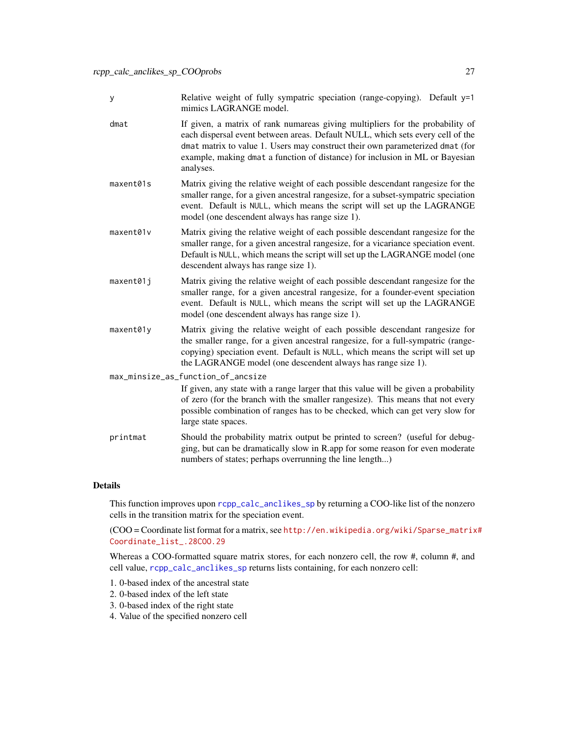| Relative weight of fully sympatric speciation (range-copying). Default y=1 |  |
|----------------------------------------------------------------------------|--|
| mimics LAGRANGE model.                                                     |  |

- dmat If given, a matrix of rank numareas giving multipliers for the probability of each dispersal event between areas. Default NULL, which sets every cell of the dmat matrix to value 1. Users may construct their own parameterized dmat (for example, making dmat a function of distance) for inclusion in ML or Bayesian analyses.
- maxent01s Matrix giving the relative weight of each possible descendant rangesize for the smaller range, for a given ancestral rangesize, for a subset-sympatric speciation event. Default is NULL, which means the script will set up the LAGRANGE model (one descendent always has range size 1).
- maxent01v Matrix giving the relative weight of each possible descendant rangesize for the smaller range, for a given ancestral rangesize, for a vicariance speciation event. Default is NULL, which means the script will set up the LAGRANGE model (one descendent always has range size 1).
- maxent01j Matrix giving the relative weight of each possible descendant rangesize for the smaller range, for a given ancestral rangesize, for a founder-event speciation event. Default is NULL, which means the script will set up the LAGRANGE model (one descendent always has range size 1).
- maxent01y Matrix giving the relative weight of each possible descendant rangesize for the smaller range, for a given ancestral rangesize, for a full-sympatric (rangecopying) speciation event. Default is NULL, which means the script will set up the LAGRANGE model (one descendent always has range size 1).

max\_minsize\_as\_function\_of\_ancsize

If given, any state with a range larger that this value will be given a probability of zero (for the branch with the smaller rangesize). This means that not every possible combination of ranges has to be checked, which can get very slow for large state spaces.

printmat Should the probability matrix output be printed to screen? (useful for debugging, but can be dramatically slow in R.app for some reason for even moderate numbers of states; perhaps overrunning the line length...)

#### Details

This function improves upon [rcpp\\_calc\\_anclikes\\_sp](#page-22-1) by returning a COO-like list of the nonzero cells in the transition matrix for the speciation event.

(COO = Coordinate list format for a matrix, see [http://en.wikipedia.org/wiki/Sparse\\_matrix](http://en.wikipedia.org/wiki/Sparse_matrix#Coordinate_list_.28COO.29)# [Coordinate\\_list\\_.28COO.29](http://en.wikipedia.org/wiki/Sparse_matrix#Coordinate_list_.28COO.29)

Whereas a COO-formatted square matrix stores, for each nonzero cell, the row #, column #, and cell value, [rcpp\\_calc\\_anclikes\\_sp](#page-22-1) returns lists containing, for each nonzero cell:

- 1. 0-based index of the ancestral state
- 2. 0-based index of the left state
- 3. 0-based index of the right state
- 4. Value of the specified nonzero cell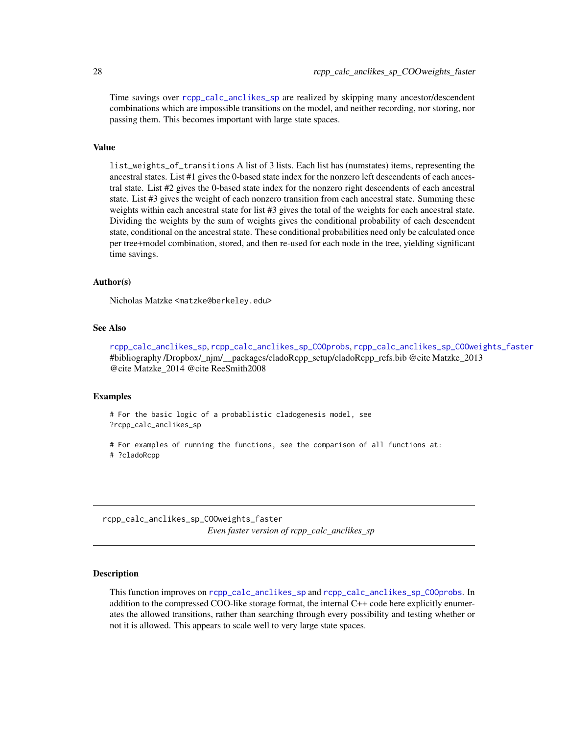Time savings over [rcpp\\_calc\\_anclikes\\_sp](#page-22-1) are realized by skipping many ancestor/descendent combinations which are impossible transitions on the model, and neither recording, nor storing, nor passing them. This becomes important with large state spaces.

## Value

list\_weights\_of\_transitions A list of 3 lists. Each list has (numstates) items, representing the ancestral states. List #1 gives the 0-based state index for the nonzero left descendents of each ancestral state. List #2 gives the 0-based state index for the nonzero right descendents of each ancestral state. List #3 gives the weight of each nonzero transition from each ancestral state. Summing these weights within each ancestral state for list #3 gives the total of the weights for each ancestral state. Dividing the weights by the sum of weights gives the conditional probability of each descendent state, conditional on the ancestral state. These conditional probabilities need only be calculated once per tree+model combination, stored, and then re-used for each node in the tree, yielding significant time savings.

#### Author(s)

Nicholas Matzke <matzke@berkeley.edu>

#### See Also

[rcpp\\_calc\\_anclikes\\_sp](#page-22-1), [rcpp\\_calc\\_anclikes\\_sp\\_COOprobs](#page-25-1), [rcpp\\_calc\\_anclikes\\_sp\\_COOweights\\_faster](#page-27-1) #bibliography /Dropbox/\_njm/\_\_packages/cladoRcpp\_setup/cladoRcpp\_refs.bib @cite Matzke\_2013 @cite Matzke\_2014 @cite ReeSmith2008

#### Examples

```
# For the basic logic of a probablistic cladogenesis model, see
?rcpp_calc_anclikes_sp
```

```
# For examples of running the functions, see the comparison of all functions at:
# ?cladoRcpp
```
<span id="page-27-1"></span>rcpp\_calc\_anclikes\_sp\_COOweights\_faster *Even faster version of rcpp\_calc\_anclikes\_sp*

## Description

This function improves on [rcpp\\_calc\\_anclikes\\_sp](#page-22-1) and [rcpp\\_calc\\_anclikes\\_sp\\_COOprobs](#page-25-1). In addition to the compressed COO-like storage format, the internal C++ code here explicitly enumerates the allowed transitions, rather than searching through every possibility and testing whether or not it is allowed. This appears to scale well to very large state spaces.

<span id="page-27-0"></span>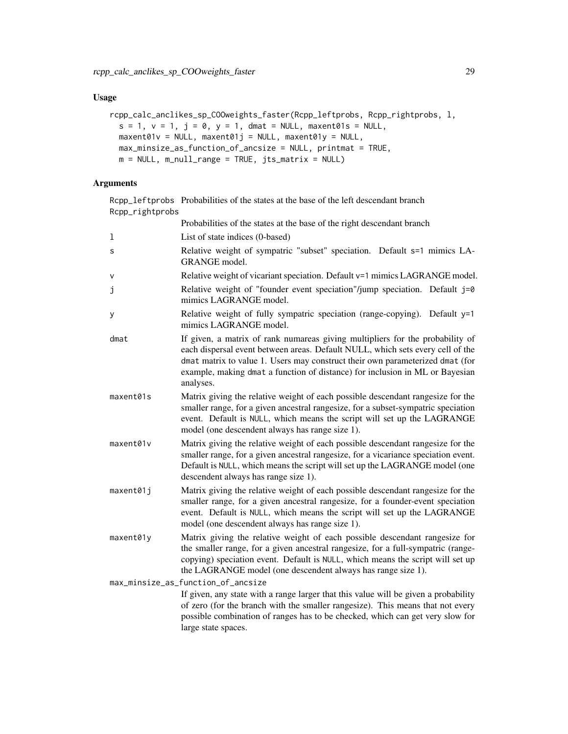## Usage

```
rcpp_calc_anclikes_sp_COOweights_faster(Rcpp_leftprobs, Rcpp_rightprobs, l,
 s = 1, v = 1, j = 0, y = 1, dmat = NULL, maxent01s = NULL,
 maxent01v = NULL, maxent01j = NULL, maxent01y = NULL,max_minsize_as_function_of_ancsize = NULL, printmat = TRUE,
 m = NULL, m\_null\_range = TRUE, jts\_matrix = NULL
```
## Arguments

Rcpp\_leftprobs Probabilities of the states at the base of the left descendant branch Rcpp\_rightprobs

|           | Probabilities of the states at the base of the right descendant branch                                                                                                                                                                                                                                                                        |
|-----------|-----------------------------------------------------------------------------------------------------------------------------------------------------------------------------------------------------------------------------------------------------------------------------------------------------------------------------------------------|
| 1         | List of state indices (0-based)                                                                                                                                                                                                                                                                                                               |
| S         | Relative weight of sympatric "subset" speciation. Default s=1 mimics LA-<br>GRANGE model.                                                                                                                                                                                                                                                     |
| $\vee$    | Relative weight of vicariant speciation. Default v=1 mimics LAGRANGE model.                                                                                                                                                                                                                                                                   |
| j         | Relative weight of "founder event speciation"/jump speciation. Default j=0<br>mimics LAGRANGE model.                                                                                                                                                                                                                                          |
| у         | Relative weight of fully sympatric speciation (range-copying). Default y=1<br>mimics LAGRANGE model.                                                                                                                                                                                                                                          |
| dmat      | If given, a matrix of rank numareas giving multipliers for the probability of<br>each dispersal event between areas. Default NULL, which sets every cell of the<br>dmat matrix to value 1. Users may construct their own parameterized dmat (for<br>example, making dmat a function of distance) for inclusion in ML or Bayesian<br>analyses. |
| maxent01s | Matrix giving the relative weight of each possible descendant rangesize for the<br>smaller range, for a given ancestral rangesize, for a subset-sympatric speciation<br>event. Default is NULL, which means the script will set up the LAGRANGE<br>model (one descendent always has range size 1).                                            |
| maxent01v | Matrix giving the relative weight of each possible descendant rangesize for the<br>smaller range, for a given ancestral rangesize, for a vicariance speciation event.<br>Default is NULL, which means the script will set up the LAGRANGE model (one<br>descendent always has range size 1).                                                  |
| maxent01j | Matrix giving the relative weight of each possible descendant rangesize for the<br>smaller range, for a given ancestral rangesize, for a founder-event speciation<br>event. Default is NULL, which means the script will set up the LAGRANGE<br>model (one descendent always has range size 1).                                               |
| maxent01y | Matrix giving the relative weight of each possible descendant rangesize for<br>the smaller range, for a given ancestral rangesize, for a full-sympatric (range-<br>copying) speciation event. Default is NULL, which means the script will set up<br>the LAGRANGE model (one descendent always has range size 1).                             |
|           | max_minsize_as_function_of_ancsize                                                                                                                                                                                                                                                                                                            |
|           | If given, any state with a range larger that this value will be given a probability<br>of zero (for the branch with the smaller rangesize). This means that not every<br>possible combination of ranges has to be checked, which can get very slow for<br>large state spaces.                                                                 |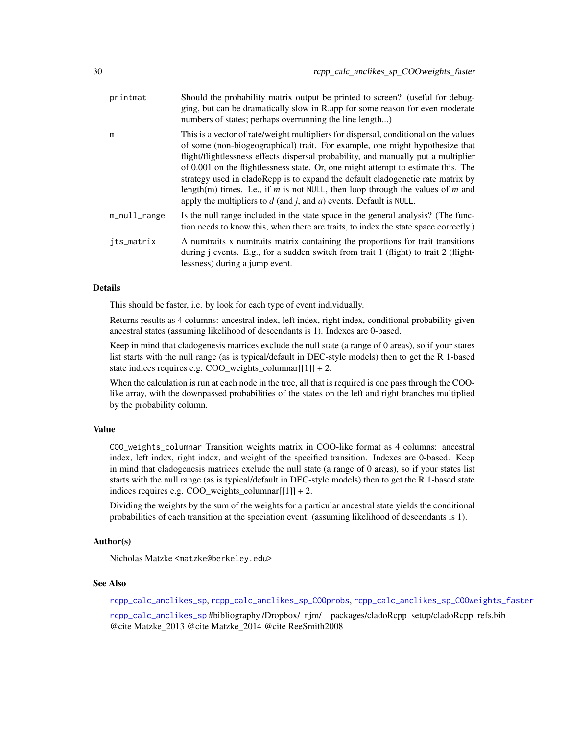<span id="page-29-0"></span>

| printmat     | Should the probability matrix output be printed to screen? (useful for debug-<br>ging, but can be dramatically slow in R.app for some reason for even moderate<br>numbers of states; perhaps overrunning the line length)                                                                                                                                                                                                                                                                                                                                                                       |
|--------------|-------------------------------------------------------------------------------------------------------------------------------------------------------------------------------------------------------------------------------------------------------------------------------------------------------------------------------------------------------------------------------------------------------------------------------------------------------------------------------------------------------------------------------------------------------------------------------------------------|
| m            | This is a vector of rate/weight multipliers for dispersal, conditional on the values<br>of some (non-biogeographical) trait. For example, one might hypothesize that<br>flight/flightlessness effects dispersal probability, and manually put a multiplier<br>of 0.001 on the flightlessness state. Or, one might attempt to estimate this. The<br>strategy used in cladoRcpp is to expand the default cladogenetic rate matrix by<br>length(m) times. I.e., if m is not NULL, then loop through the values of m and<br>apply the multipliers to $d$ (and j, and $a$ ) events. Default is NULL. |
| m_null_range | Is the null range included in the state space in the general analysis? (The func-<br>tion needs to know this, when there are traits, to index the state space correctly.)                                                                                                                                                                                                                                                                                                                                                                                                                       |
| jts_matrix   | A numtraits x numtraits matrix containing the proportions for trait transitions<br>during <i>j</i> events. E.g., for a sudden switch from trait 1 (flight) to trait 2 (flight-<br>lessness) during a jump event.                                                                                                                                                                                                                                                                                                                                                                                |

#### Details

This should be faster, i.e. by look for each type of event individually.

Returns results as 4 columns: ancestral index, left index, right index, conditional probability given ancestral states (assuming likelihood of descendants is 1). Indexes are 0-based.

Keep in mind that cladogenesis matrices exclude the null state (a range of 0 areas), so if your states list starts with the null range (as is typical/default in DEC-style models) then to get the R 1-based state indices requires e.g.  $COO$  weights columnar $[[1]] + 2$ .

When the calculation is run at each node in the tree, all that is required is one pass through the COOlike array, with the downpassed probabilities of the states on the left and right branches multiplied by the probability column.

## Value

COO\_weights\_columnar Transition weights matrix in COO-like format as 4 columns: ancestral index, left index, right index, and weight of the specified transition. Indexes are 0-based. Keep in mind that cladogenesis matrices exclude the null state (a range of 0 areas), so if your states list starts with the null range (as is typical/default in DEC-style models) then to get the R 1-based state indices requires e.g. COO\_weights\_columnar $[1]$ ] + 2.

Dividing the weights by the sum of the weights for a particular ancestral state yields the conditional probabilities of each transition at the speciation event. (assuming likelihood of descendants is 1).

## Author(s)

Nicholas Matzke <matzke@berkeley.edu>

#### See Also

[rcpp\\_calc\\_anclikes\\_sp](#page-22-1), [rcpp\\_calc\\_anclikes\\_sp\\_COOprobs](#page-25-1), [rcpp\\_calc\\_anclikes\\_sp\\_COOweights\\_faster](#page-27-1)

[rcpp\\_calc\\_anclikes\\_sp](#page-22-1) #bibliography /Dropbox/\_njm/\_\_packages/cladoRcpp\_setup/cladoRcpp\_refs.bib @cite Matzke\_2013 @cite Matzke\_2014 @cite ReeSmith2008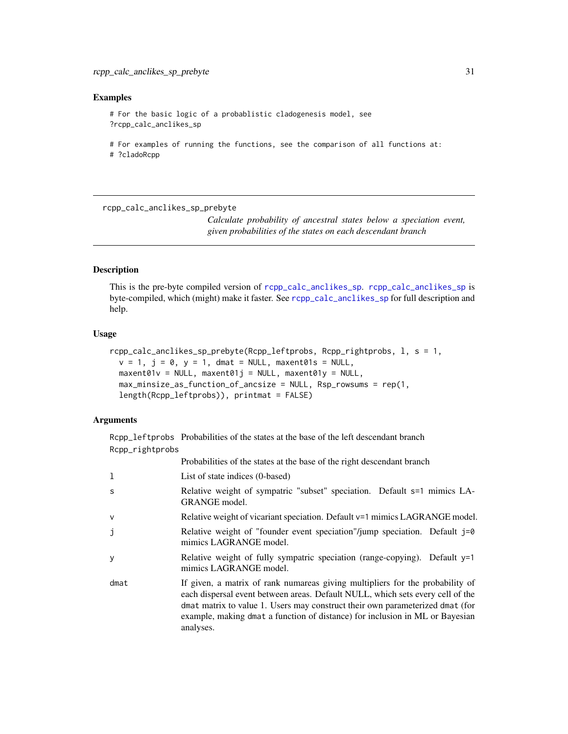#### <span id="page-30-0"></span>Examples

# For the basic logic of a probablistic cladogenesis model, see ?rcpp\_calc\_anclikes\_sp

# For examples of running the functions, see the comparison of all functions at: # ?cladoRcpp

<span id="page-30-1"></span>rcpp\_calc\_anclikes\_sp\_prebyte

*Calculate probability of ancestral states below a speciation event, given probabilities of the states on each descendant branch*

## Description

This is the pre-byte compiled version of [rcpp\\_calc\\_anclikes\\_sp](#page-22-1). [rcpp\\_calc\\_anclikes\\_sp](#page-22-1) is byte-compiled, which (might) make it faster. See [rcpp\\_calc\\_anclikes\\_sp](#page-22-1) for full description and help.

#### Usage

```
rcpp_calc_anclikes_sp_prebyte(Rcpp_leftprobs, Rcpp_rightprobs, l, s = 1,
 v = 1, j = 0, y = 1, dmat = NULL, maxent01s = NULL,
 maxent01v = NULL, maxent01j = NULL, maxent01y = NULL,
 max_minsize_as_function_of_ancsize = NULL, Rsp_rowsums = rep(1,
 length(Rcpp_leftprobs)), printmat = FALSE)
```
## Arguments

Rcpp\_leftprobs Probabilities of the states at the base of the left descendant branch Rcpp\_rightprobs

|      | Probabilities of the states at the base of the right descendant branch                                                                                                                                                                                                                                                                        |
|------|-----------------------------------------------------------------------------------------------------------------------------------------------------------------------------------------------------------------------------------------------------------------------------------------------------------------------------------------------|
| ı    | List of state indices (0-based)                                                                                                                                                                                                                                                                                                               |
| S    | Relative weight of sympatric "subset" speciation. Default s=1 mimics LA-<br>GRANGE model.                                                                                                                                                                                                                                                     |
| V    | Relative weight of vicariant speciation. Default $v=1$ mimics LAGRANGE model.                                                                                                                                                                                                                                                                 |
| j    | Relative weight of "founder event speciation"/jump speciation. Default $j=0$<br>mimics LAGRANGE model.                                                                                                                                                                                                                                        |
| y    | Relative weight of fully sympatric speciation (range-copying). Default $y=1$<br>mimics LAGRANGE model.                                                                                                                                                                                                                                        |
| dmat | If given, a matrix of rank numareas giving multipliers for the probability of<br>each dispersal event between areas. Default NULL, which sets every cell of the<br>dmat matrix to value 1. Users may construct their own parameterized dmat (for<br>example, making dmat a function of distance) for inclusion in ML or Bayesian<br>analyses. |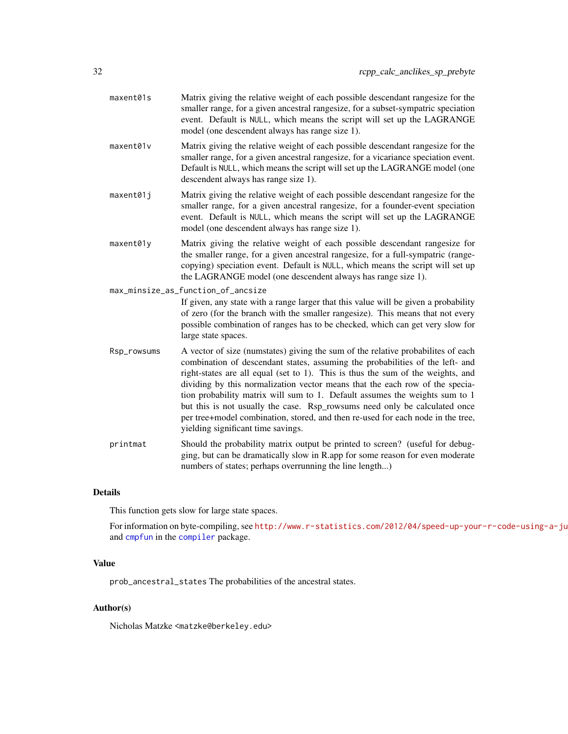<span id="page-31-0"></span>

| maxent01s | Matrix giving the relative weight of each possible descendant rangesize for the   |
|-----------|-----------------------------------------------------------------------------------|
|           | smaller range, for a given ancestral rangesize, for a subset-sympatric speciation |
|           | event. Default is NULL, which means the script will set up the LAGRANGE           |
|           | model (one descendent always has range size 1).                                   |

- maxent01v Matrix giving the relative weight of each possible descendant rangesize for the smaller range, for a given ancestral rangesize, for a vicariance speciation event. Default is NULL, which means the script will set up the LAGRANGE model (one descendent always has range size 1).
- maxent01j Matrix giving the relative weight of each possible descendant rangesize for the smaller range, for a given ancestral rangesize, for a founder-event speciation event. Default is NULL, which means the script will set up the LAGRANGE model (one descendent always has range size 1).
- maxent01y Matrix giving the relative weight of each possible descendant rangesize for the smaller range, for a given ancestral rangesize, for a full-sympatric (rangecopying) speciation event. Default is NULL, which means the script will set up the LAGRANGE model (one descendent always has range size 1).

max\_minsize\_as\_function\_of\_ancsize

If given, any state with a range larger that this value will be given a probability of zero (for the branch with the smaller rangesize). This means that not every possible combination of ranges has to be checked, which can get very slow for large state spaces.

- Rsp\_rowsums A vector of size (numstates) giving the sum of the relative probabilites of each combination of descendant states, assuming the probabilities of the left- and right-states are all equal (set to 1). This is thus the sum of the weights, and dividing by this normalization vector means that the each row of the speciation probability matrix will sum to 1. Default assumes the weights sum to 1 but this is not usually the case. Rsp\_rowsums need only be calculated once per tree+model combination, stored, and then re-used for each node in the tree, yielding significant time savings.
- printmat Should the probability matrix output be printed to screen? (useful for debugging, but can be dramatically slow in R.app for some reason for even moderate numbers of states; perhaps overrunning the line length...)

## Details

This function gets slow for large state spaces.

For information on byte-compiling, see http://www.r-statistics.com/2012/04/speed-up-your-r-code-using-a-ju and [cmpfun](#page-0-0) in the [compiler](#page-0-0) package.

#### Value

prob\_ancestral\_states The probabilities of the ancestral states.

#### Author(s)

Nicholas Matzke <matzke@berkeley.edu>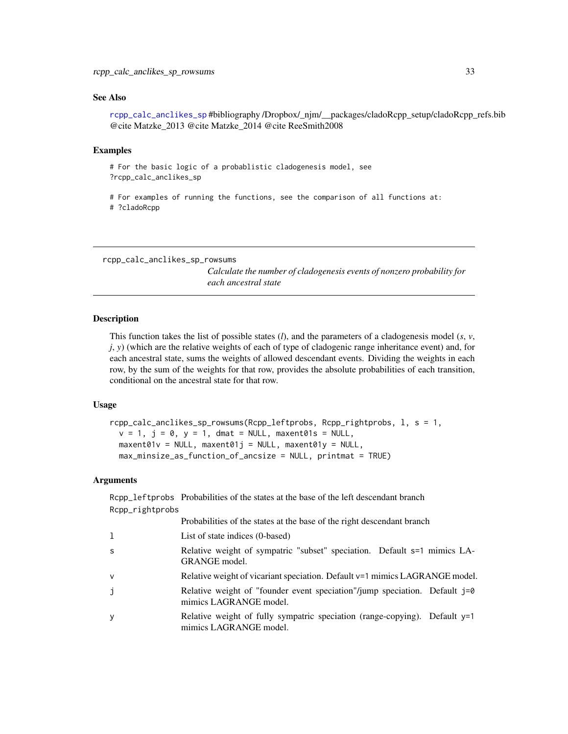#### <span id="page-32-0"></span>See Also

[rcpp\\_calc\\_anclikes\\_sp](#page-22-1) #bibliography /Dropbox/\_njm/\_\_packages/cladoRcpp\_setup/cladoRcpp\_refs.bib @cite Matzke\_2013 @cite Matzke\_2014 @cite ReeSmith2008

#### Examples

```
# For the basic logic of a probablistic cladogenesis model, see
?rcpp_calc_anclikes_sp
```

```
# For examples of running the functions, see the comparison of all functions at:
# ?cladoRcpp
```
<span id="page-32-1"></span>rcpp\_calc\_anclikes\_sp\_rowsums

*Calculate the number of cladogenesis events of nonzero probability for each ancestral state*

#### Description

This function takes the list of possible states (*l*), and the parameters of a cladogenesis model (*s*, *v*, *j*, *y*) (which are the relative weights of each of type of cladogenic range inheritance event) and, for each ancestral state, sums the weights of allowed descendant events. Dividing the weights in each row, by the sum of the weights for that row, provides the absolute probabilities of each transition, conditional on the ancestral state for that row.

#### Usage

```
rcpp_calc_anclikes_sp_rowsums(Rcpp_leftprobs, Rcpp_rightprobs, l, s = 1,
 v = 1, j = 0, y = 1, dmat = NULL, maxent01s = NULL,
 maxent01v = NULL, maxent01j = NULL, maxent01y = NULL,max_minsize_as_function_of_ancsize = NULL, printmat = TRUE)
```
## **Arguments**

|                 | Rcpp_leftprobs Probabilities of the states at the base of the left descendant branch                   |
|-----------------|--------------------------------------------------------------------------------------------------------|
| Rcpp_rightprobs |                                                                                                        |
|                 | Probabilities of the states at the base of the right descendant branch                                 |
| 1               | List of state indices (0-based)                                                                        |
| S               | Relative weight of sympatric "subset" speciation. Default s=1 mimics LA-<br>GRANGE model.              |
| v               | Relative weight of vicariant speciation. Default $v=1$ mimics LAGRANGE model.                          |
| j               | Relative weight of "founder event speciation"/jump speciation. Default j=0<br>mimics LAGRANGE model.   |
| у               | Relative weight of fully sympatric speciation (range-copying). Default $y=1$<br>mimics LAGRANGE model. |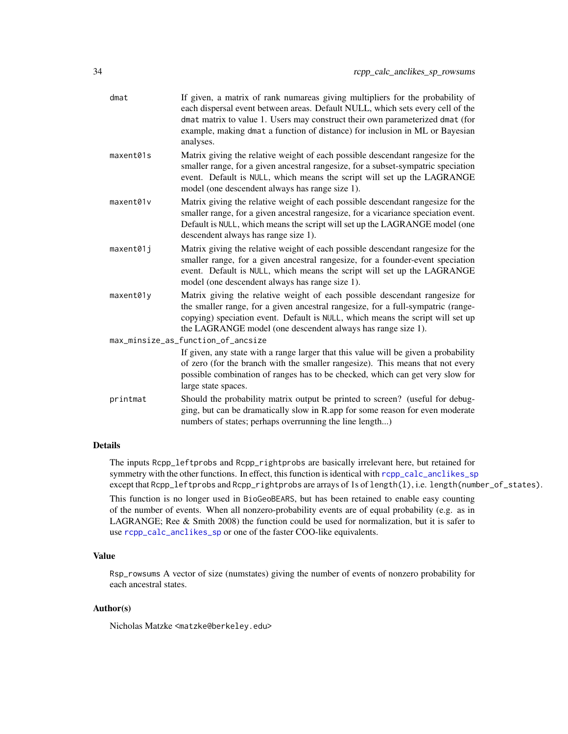| dmat      | If given, a matrix of rank numareas giving multipliers for the probability of<br>each dispersal event between areas. Default NULL, which sets every cell of the<br>dmat matrix to value 1. Users may construct their own parameterized dmat (for<br>example, making dmat a function of distance) for inclusion in ML or Bayesian<br>analyses. |
|-----------|-----------------------------------------------------------------------------------------------------------------------------------------------------------------------------------------------------------------------------------------------------------------------------------------------------------------------------------------------|
| maxent01s | Matrix giving the relative weight of each possible descendant rangesize for the<br>smaller range, for a given ancestral rangesize, for a subset-sympatric speciation<br>event. Default is NULL, which means the script will set up the LAGRANGE<br>model (one descendent always has range size 1).                                            |
| maxent01v | Matrix giving the relative weight of each possible descendant rangesize for the<br>smaller range, for a given ancestral rangesize, for a vicariance speciation event.<br>Default is NULL, which means the script will set up the LAGRANGE model (one<br>descendent always has range size 1).                                                  |
| maxent01j | Matrix giving the relative weight of each possible descendant rangesize for the<br>smaller range, for a given ancestral rangesize, for a founder-event speciation<br>event. Default is NULL, which means the script will set up the LAGRANGE<br>model (one descendent always has range size 1).                                               |
| maxent01y | Matrix giving the relative weight of each possible descendant rangesize for<br>the smaller range, for a given ancestral rangesize, for a full-sympatric (range-<br>copying) speciation event. Default is NULL, which means the script will set up<br>the LAGRANGE model (one descendent always has range size 1).                             |
|           | max_minsize_as_function_of_ancsize<br>If given, any state with a range larger that this value will be given a probability<br>of zero (for the branch with the smaller rangesize). This means that not every<br>possible combination of ranges has to be checked, which can get very slow for<br>large state spaces.                           |
| printmat  | Should the probability matrix output be printed to screen? (useful for debug-<br>ging, but can be dramatically slow in R.app for some reason for even moderate<br>numbers of states; perhaps overrunning the line length)                                                                                                                     |

## Details

The inputs Rcpp\_leftprobs and Rcpp\_rightprobs are basically irrelevant here, but retained for symmetry with the other functions. In effect, this function is identical with [rcpp\\_calc\\_anclikes\\_sp](#page-22-1) except that Rcpp\_leftprobs and Rcpp\_rightprobs are arrays of 1s of length(l), i.e. length(number\_of\_states).

This function is no longer used in BioGeoBEARS, but has been retained to enable easy counting of the number of events. When all nonzero-probability events are of equal probability (e.g. as in LAGRANGE; Ree & Smith 2008) the function could be used for normalization, but it is safer to use [rcpp\\_calc\\_anclikes\\_sp](#page-22-1) or one of the faster COO-like equivalents.

## Value

Rsp\_rowsums A vector of size (numstates) giving the number of events of nonzero probability for each ancestral states.

## Author(s)

Nicholas Matzke <matzke@berkeley.edu>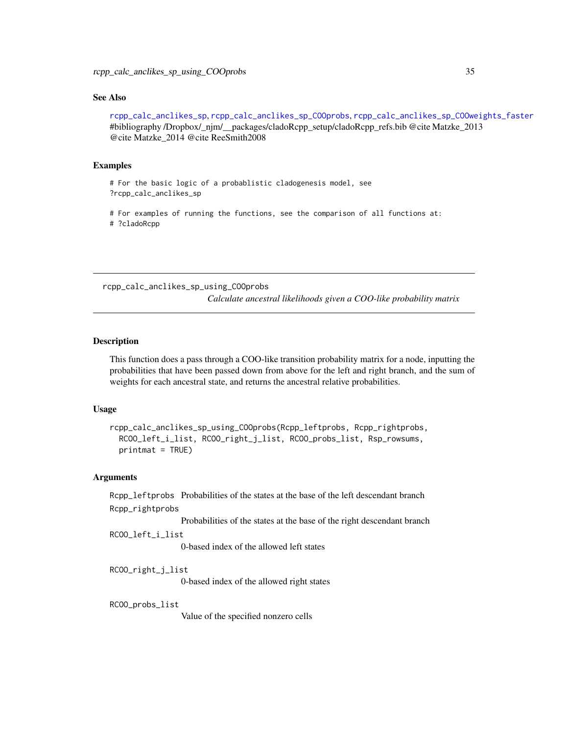#### <span id="page-34-0"></span>See Also

[rcpp\\_calc\\_anclikes\\_sp](#page-22-1), [rcpp\\_calc\\_anclikes\\_sp\\_COOprobs](#page-25-1), [rcpp\\_calc\\_anclikes\\_sp\\_COOweights\\_faster](#page-27-1) #bibliography /Dropbox/\_njm/\_\_packages/cladoRcpp\_setup/cladoRcpp\_refs.bib @cite Matzke\_2013 @cite Matzke\_2014 @cite ReeSmith2008

#### Examples

```
# For the basic logic of a probablistic cladogenesis model, see
?rcpp_calc_anclikes_sp
```
# For examples of running the functions, see the comparison of all functions at: # ?cladoRcpp

rcpp\_calc\_anclikes\_sp\_using\_COOprobs

*Calculate ancestral likelihoods given a COO-like probability matrix*

## Description

This function does a pass through a COO-like transition probability matrix for a node, inputting the probabilities that have been passed down from above for the left and right branch, and the sum of weights for each ancestral state, and returns the ancestral relative probabilities.

#### Usage

```
rcpp_calc_anclikes_sp_using_COOprobs(Rcpp_leftprobs, Rcpp_rightprobs,
 RCOO_left_i_list, RCOO_right_j_list, RCOO_probs_list, Rsp_rowsums,
 printmat = TRUE)
```
#### Arguments

Rcpp\_leftprobs Probabilities of the states at the base of the left descendant branch Rcpp\_rightprobs

Probabilities of the states at the base of the right descendant branch

```
RCOO_left_i_list
```
0-based index of the allowed left states

RCOO\_right\_j\_list

0-based index of the allowed right states

RCOO\_probs\_list

Value of the specified nonzero cells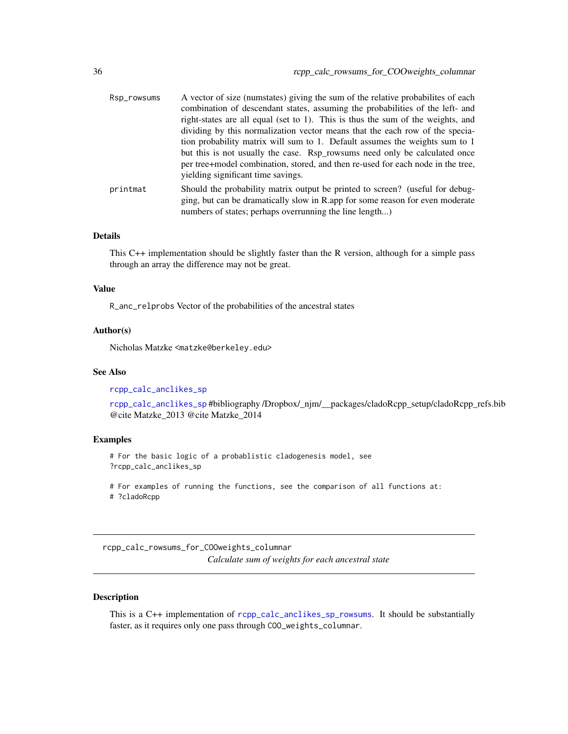<span id="page-35-0"></span>

| Rsp_rowsums | A vector of size (numstates) giving the sum of the relative probabilities of each |
|-------------|-----------------------------------------------------------------------------------|
|             | combination of descendant states, assuming the probabilities of the left- and     |
|             | right-states are all equal (set to 1). This is thus the sum of the weights, and   |
|             | dividing by this normalization vector means that the each row of the specia-      |
|             | tion probability matrix will sum to 1. Default assumes the weights sum to 1       |
|             | but this is not usually the case. Rsp_rowsums need only be calculated once        |
|             | per tree+model combination, stored, and then re-used for each node in the tree,   |
|             | yielding significant time savings.                                                |
| printmat    | Should the probability matrix output be printed to screen? (useful for debug-     |
|             | ging, but can be dramatically slow in R.app for some reason for even moderate     |
|             | numbers of states; perhaps overrunning the line length)                           |
|             |                                                                                   |

#### Details

This C++ implementation should be slightly faster than the R version, although for a simple pass through an array the difference may not be great.

#### Value

R\_anc\_relprobs Vector of the probabilities of the ancestral states

## Author(s)

Nicholas Matzke <matzke@berkeley.edu>

## See Also

[rcpp\\_calc\\_anclikes\\_sp](#page-22-1)

[rcpp\\_calc\\_anclikes\\_sp](#page-22-1) #bibliography /Dropbox/\_njm/\_\_packages/cladoRcpp\_setup/cladoRcpp\_refs.bib @cite Matzke\_2013 @cite Matzke\_2014

#### Examples

# For the basic logic of a probablistic cladogenesis model, see ?rcpp\_calc\_anclikes\_sp

# For examples of running the functions, see the comparison of all functions at: # ?cladoRcpp

rcpp\_calc\_rowsums\_for\_COOweights\_columnar *Calculate sum of weights for each ancestral state*

## Description

This is a C++ implementation of [rcpp\\_calc\\_anclikes\\_sp\\_rowsums](#page-32-1). It should be substantially faster, as it requires only one pass through COO\_weights\_columnar.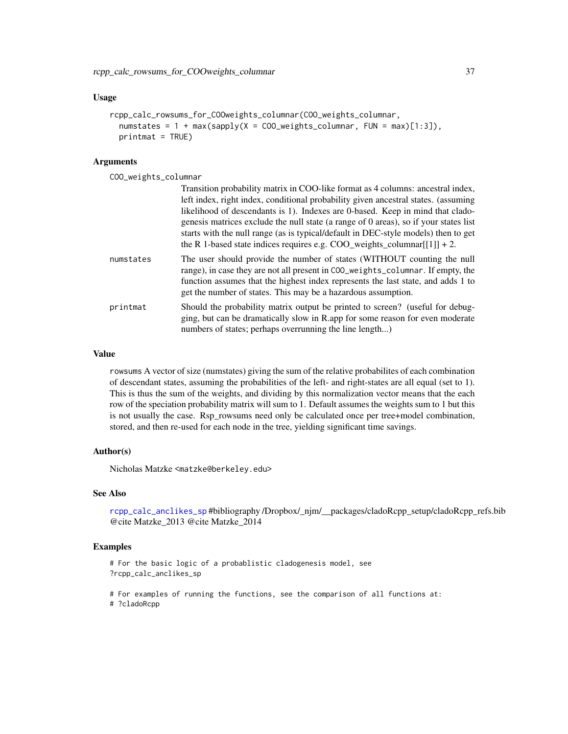#### <span id="page-36-0"></span>Usage

```
rcpp_calc_rowsums_for_COOweights_columnar(COO_weights_columnar,
  numstates = 1 + \max(sapply(X = CO\_{weights\_columnar, FUN = max)[1:3]),printmat = TRUE)
```
#### Arguments

COO\_weights\_columnar

|           | Transition probability matrix in COO-like format as 4 columns: ancestral index,<br>left index, right index, conditional probability given ancestral states. (assuming<br>likelihood of descendants is 1). Indexes are 0-based. Keep in mind that clado-<br>genesis matrices exclude the null state (a range of 0 areas), so if your states list<br>starts with the null range (as is typical/default in DEC-style models) then to get<br>the R 1-based state indices requires e.g. COO_weights_columnar $[1]$ ] + 2. |
|-----------|----------------------------------------------------------------------------------------------------------------------------------------------------------------------------------------------------------------------------------------------------------------------------------------------------------------------------------------------------------------------------------------------------------------------------------------------------------------------------------------------------------------------|
| numstates | The user should provide the number of states (WITHOUT counting the null<br>range), in case they are not all present in COO_weights_columnar. If empty, the<br>function assumes that the highest index represents the last state, and adds 1 to<br>get the number of states. This may be a hazardous assumption.                                                                                                                                                                                                      |
| printmat  | Should the probability matrix output be printed to screen? (useful for debug-<br>ging, but can be dramatically slow in R.app for some reason for even moderate<br>numbers of states; perhaps overrunning the line length)                                                                                                                                                                                                                                                                                            |

## Value

rowsums A vector of size (numstates) giving the sum of the relative probabilites of each combination of descendant states, assuming the probabilities of the left- and right-states are all equal (set to 1). This is thus the sum of the weights, and dividing by this normalization vector means that the each row of the speciation probability matrix will sum to 1. Default assumes the weights sum to 1 but this is not usually the case. Rsp\_rowsums need only be calculated once per tree+model combination, stored, and then re-used for each node in the tree, yielding significant time savings.

#### Author(s)

Nicholas Matzke <matzke@berkeley.edu>

## See Also

[rcpp\\_calc\\_anclikes\\_sp](#page-22-1) #bibliography /Dropbox/\_njm/\_\_packages/cladoRcpp\_setup/cladoRcpp\_refs.bib @cite Matzke\_2013 @cite Matzke\_2014

#### Examples

```
# For the basic logic of a probablistic cladogenesis model, see
?rcpp_calc_anclikes_sp
```

```
# For examples of running the functions, see the comparison of all functions at:
# ?cladoRcpp
```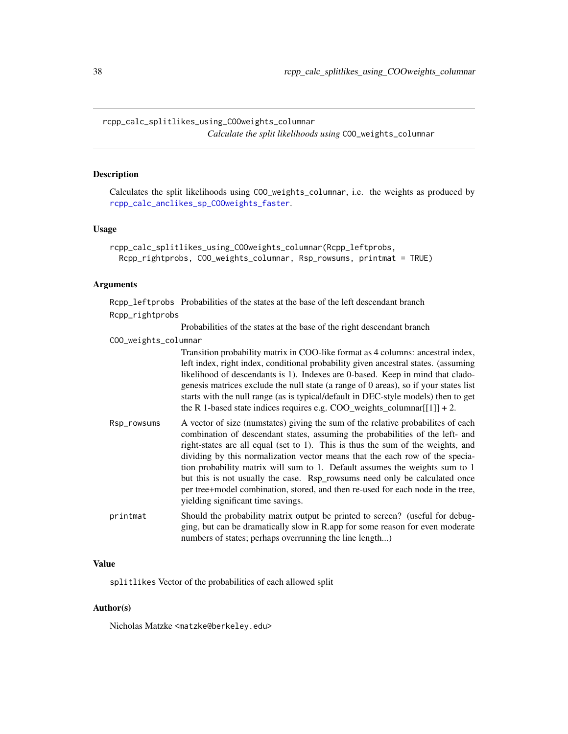<span id="page-37-0"></span>rcpp\_calc\_splitlikes\_using\_COOweights\_columnar *Calculate the split likelihoods using* COO\_weights\_columnar

#### **Description**

Calculates the split likelihoods using COO\_weights\_columnar, i.e. the weights as produced by [rcpp\\_calc\\_anclikes\\_sp\\_COOweights\\_faster](#page-27-1).

#### Usage

```
rcpp_calc_splitlikes_using_COOweights_columnar(Rcpp_leftprobs,
 Rcpp_rightprobs, COO_weights_columnar, Rsp_rowsums, printmat = TRUE)
```
#### Arguments

Rcpp\_leftprobs Probabilities of the states at the base of the left descendant branch Rcpp\_rightprobs

Probabilities of the states at the base of the right descendant branch

#### COO\_weights\_columnar

Transition probability matrix in COO-like format as 4 columns: ancestral index, left index, right index, conditional probability given ancestral states. (assuming likelihood of descendants is 1). Indexes are 0-based. Keep in mind that cladogenesis matrices exclude the null state (a range of 0 areas), so if your states list starts with the null range (as is typical/default in DEC-style models) then to get the R 1-based state indices requires e.g.  $COO$  weights columnar[[1]] + 2.

- Rsp\_rowsums A vector of size (numstates) giving the sum of the relative probabilites of each combination of descendant states, assuming the probabilities of the left- and right-states are all equal (set to 1). This is thus the sum of the weights, and dividing by this normalization vector means that the each row of the speciation probability matrix will sum to 1. Default assumes the weights sum to 1 but this is not usually the case. Rsp\_rowsums need only be calculated once per tree+model combination, stored, and then re-used for each node in the tree, yielding significant time savings.
- printmat Should the probability matrix output be printed to screen? (useful for debugging, but can be dramatically slow in R.app for some reason for even moderate numbers of states; perhaps overrunning the line length...)

#### Value

splitlikes Vector of the probabilities of each allowed split

#### Author(s)

Nicholas Matzke <matzke@berkeley.edu>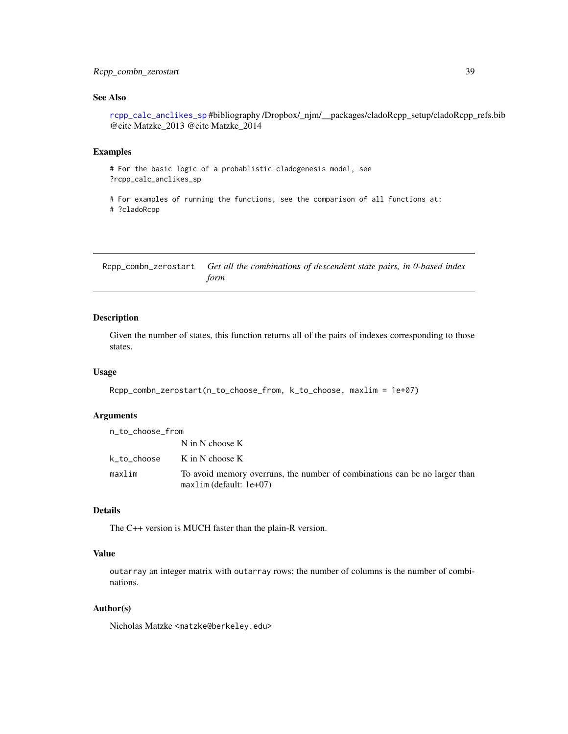## <span id="page-38-0"></span>Rcpp\_combn\_zerostart 39

## See Also

[rcpp\\_calc\\_anclikes\\_sp](#page-22-1) #bibliography /Dropbox/\_njm/\_\_packages/cladoRcpp\_setup/cladoRcpp\_refs.bib @cite Matzke\_2013 @cite Matzke\_2014

## Examples

```
# For the basic logic of a probablistic cladogenesis model, see
?rcpp_calc_anclikes_sp
# For examples of running the functions, see the comparison of all functions at:
```
# ?cladoRcpp

<span id="page-38-1"></span>Rcpp\_combn\_zerostart *Get all the combinations of descendent state pairs, in 0-based index form*

#### Description

Given the number of states, this function returns all of the pairs of indexes corresponding to those states.

## Usage

```
Rcpp_combn_zerostart(n_to_choose_from, k_to_choose, maxlim = 1e+07)
```
## **Arguments**

| n_to_choose_from |                                                                                                         |
|------------------|---------------------------------------------------------------------------------------------------------|
|                  | $N$ in N choose K                                                                                       |
| k_to_choose      | K in N choose K                                                                                         |
| maxlim           | To avoid memory overruns, the number of combinations can be no larger than<br>$maxlim (default: 1e+07)$ |

## Details

The C++ version is MUCH faster than the plain-R version.

## Value

outarray an integer matrix with outarray rows; the number of columns is the number of combinations.

## Author(s)

Nicholas Matzke <matzke@berkeley.edu>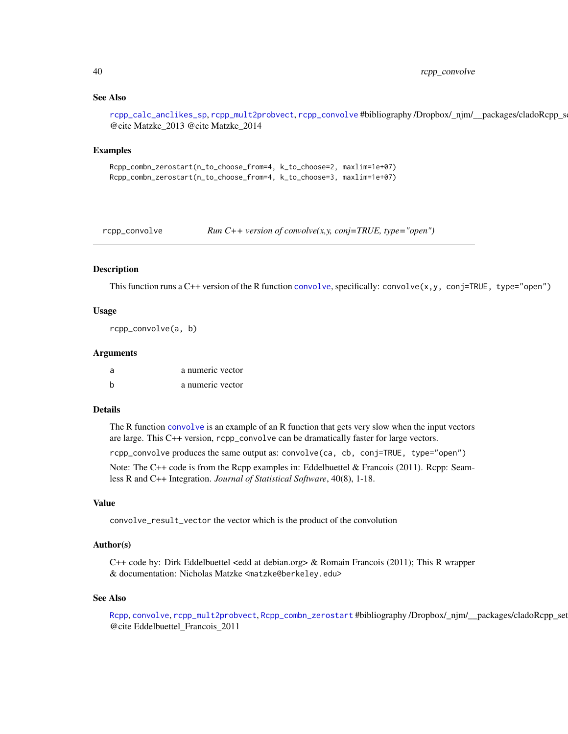## See Also

[rcpp\\_calc\\_anclikes\\_sp](#page-22-1), [rcpp\\_mult2probvect](#page-40-1), [rcpp\\_convolve](#page-39-1) #bibliography /Dropbox/\_njm/\_\_packages/cladoRcpp\_s @cite Matzke\_2013 @cite Matzke\_2014

#### Examples

```
Rcpp_combn_zerostart(n_to_choose_from=4, k_to_choose=2, maxlim=1e+07)
Rcpp_combn_zerostart(n_to_choose_from=4, k_to_choose=3, maxlim=1e+07)
```
<span id="page-39-1"></span>rcpp\_convolve *Run C++ version of convolve(x,y, conj=TRUE, type="open")*

#### Description

This function runs a  $C++$  version of the R function [convolve](#page-0-0), specifically: convolve(x,y, conj=TRUE, type="open")

## Usage

rcpp\_convolve(a, b)

#### Arguments

| a | a numeric vector |
|---|------------------|
| h | a numeric vector |

## Details

The R function [convolve](#page-0-0) is an example of an R function that gets very slow when the input vectors are large. This C++ version, rcpp\_convolve can be dramatically faster for large vectors.

rcpp\_convolve produces the same output as: convolve(ca, cb, conj=TRUE, type="open")

Note: The C++ code is from the Rcpp examples in: Eddelbuettel & Francois (2011). Rcpp: Seamless R and C++ Integration. *Journal of Statistical Software*, 40(8), 1-18.

#### Value

convolve\_result\_vector the vector which is the product of the convolution

## Author(s)

C++ code by: Dirk Eddelbuettel <edd at debian.org> & Romain Francois (2011); This R wrapper & documentation: Nicholas Matzke <matzke@berkeley.edu>

#### See Also

[Rcpp](#page-0-0), [convolve](#page-0-0), [rcpp\\_mult2probvect](#page-40-1), [Rcpp\\_combn\\_zerostart](#page-38-1) #bibliography /Dropbox/\_njm/\_\_packages/cladoRcpp\_set @cite Eddelbuettel\_Francois\_2011

<span id="page-39-0"></span>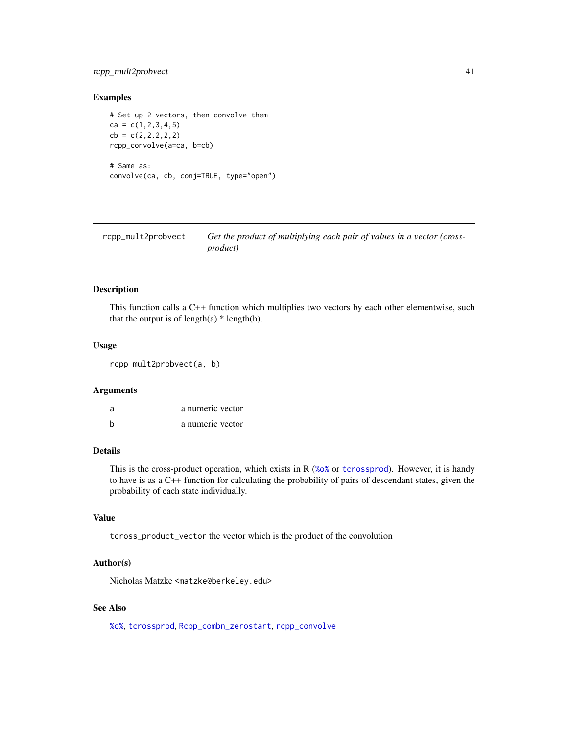## <span id="page-40-0"></span>rcpp\_mult2probvect 41

## Examples

```
# Set up 2 vectors, then convolve them
ca = c(1, 2, 3, 4, 5)cb = c(2, 2, 2, 2, 2)rcpp_convolve(a=ca, b=cb)
# Same as:
convolve(ca, cb, conj=TRUE, type="open")
```
<span id="page-40-1"></span>

| rcpp_mult2probvect | Get the product of multiplying each pair of values in a vector (cross- |
|--------------------|------------------------------------------------------------------------|
|                    | <i>product</i> )                                                       |

## Description

This function calls a C++ function which multiplies two vectors by each other elementwise, such that the output is of length(a)  $*$  length(b).

#### Usage

rcpp\_mult2probvect(a, b)

#### Arguments

| -a | a numeric vector |
|----|------------------|
|    | a numeric vector |

## Details

This is the cross-product operation, which exists in R ([%o%](#page-0-0) or [tcrossprod](#page-0-0)). However, it is handy to have is as a C++ function for calculating the probability of pairs of descendant states, given the probability of each state individually.

#### Value

tcross\_product\_vector the vector which is the product of the convolution

#### Author(s)

Nicholas Matzke <matzke@berkeley.edu>

## See Also

[%o%](#page-0-0), [tcrossprod](#page-0-0), [Rcpp\\_combn\\_zerostart](#page-38-1), [rcpp\\_convolve](#page-39-1)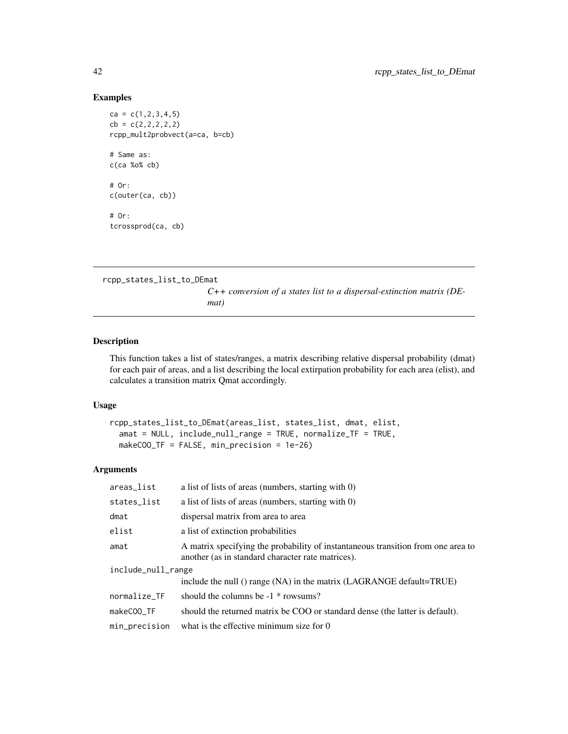## Examples

```
ca = c(1, 2, 3, 4, 5)cb = c(2, 2, 2, 2, 2)rcpp_mult2probvect(a=ca, b=cb)
# Same as:
c(ca %o% cb)
# Or:
c(outer(ca, cb))
# Or:
tcrossprod(ca, cb)
```
rcpp\_states\_list\_to\_DEmat

*C++ conversion of a states list to a dispersal-extinction matrix (DEmat)*

## Description

This function takes a list of states/ranges, a matrix describing relative dispersal probability (dmat) for each pair of areas, and a list describing the local extirpation probability for each area (elist), and calculates a transition matrix Qmat accordingly.

#### Usage

```
rcpp_states_list_to_DEmat(areas_list, states_list, dmat, elist,
 amat = NULL, include_null_range = TRUE, normalize_TF = TRUE,
 makeCOO_TF = FALSE, min_precision = 1e-26)
```
## Arguments

| areas_list         | a list of lists of areas (numbers, starting with 0)                                                                                   |  |
|--------------------|---------------------------------------------------------------------------------------------------------------------------------------|--|
| states_list        | a list of lists of areas (numbers, starting with $0$ )                                                                                |  |
| dmat               | dispersal matrix from area to area                                                                                                    |  |
| elist              | a list of extinction probabilities                                                                                                    |  |
| amat               | A matrix specifying the probability of instantaneous transition from one area to<br>another (as in standard character rate matrices). |  |
| include_null_range |                                                                                                                                       |  |
|                    | include the null () range (NA) in the matrix (LAGRANGE default=TRUE)                                                                  |  |
| normalize_TF       | should the columns be $-1$ * rowsums?                                                                                                 |  |
| makeCOO TF         | should the returned matrix be COO or standard dense (the latter is default).                                                          |  |
| min_precision      | what is the effective minimum size for 0                                                                                              |  |
|                    |                                                                                                                                       |  |

<span id="page-41-0"></span>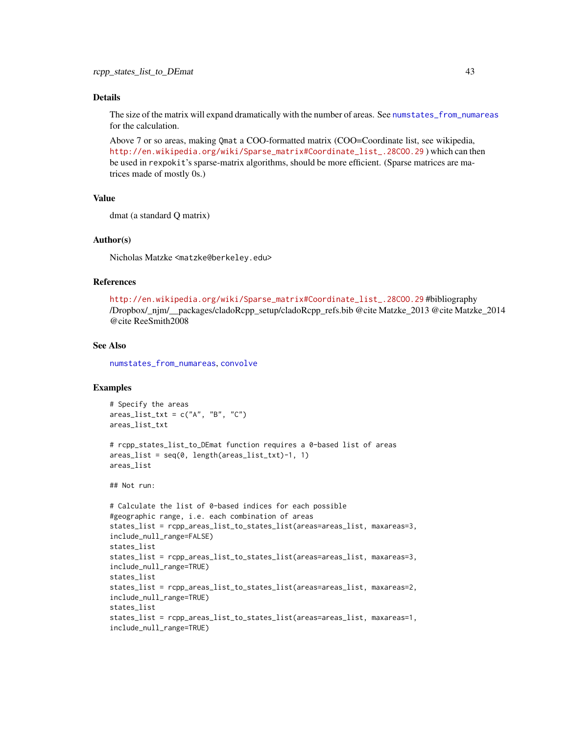#### <span id="page-42-0"></span>Details

The size of the matrix will expand dramatically with the number of areas. See [numstates\\_from\\_numareas](#page-19-1) for the calculation.

Above 7 or so areas, making Qmat a COO-formatted matrix (COO=Coordinate list, see wikipedia, [http://en.wikipedia.org/wiki/Sparse\\_matrix#Coordinate\\_list\\_.28COO.29](http://en.wikipedia.org/wiki/Sparse_matrix#Coordinate_list_.28COO.29) ) which can then be used in rexpokit's sparse-matrix algorithms, should be more efficient. (Sparse matrices are matrices made of mostly 0s.)

#### Value

dmat (a standard Q matrix)

## Author(s)

Nicholas Matzke <matzke@berkeley.edu>

## References

[http://en.wikipedia.org/wiki/Sparse\\_matrix#Coordinate\\_list\\_.28COO.29](http://en.wikipedia.org/wiki/Sparse_matrix#Coordinate_list_.28COO.29) #bibliography /Dropbox/\_njm/\_\_packages/cladoRcpp\_setup/cladoRcpp\_refs.bib @cite Matzke\_2013 @cite Matzke\_2014 @cite ReeSmith2008

## See Also

[numstates\\_from\\_numareas](#page-19-1), [convolve](#page-0-0)

## Examples

```
# Specify the areas
areas\_list\_txt = c("A", "B", "C")areas_list_txt
# rcpp_states_list_to_DEmat function requires a 0-based list of areas
area\_list = seq(0, length(areas\_list\_txt)-1, 1)areas_list
## Not run:
# Calculate the list of 0-based indices for each possible
#geographic range, i.e. each combination of areas
states_list = rcpp_areas_list_to_states_list(areas=areas_list, maxareas=3,
include_null_range=FALSE)
states_list
states_list = rcpp_areas_list_to_states_list(areas=areas_list, maxareas=3,
include_null_range=TRUE)
states_list
states_list = rcpp_areas_list_to_states_list(areas=areas_list, maxareas=2,
include_null_range=TRUE)
states_list
states_list = rcpp_areas_list_to_states_list(areas=areas_list, maxareas=1,
include_null_range=TRUE)
```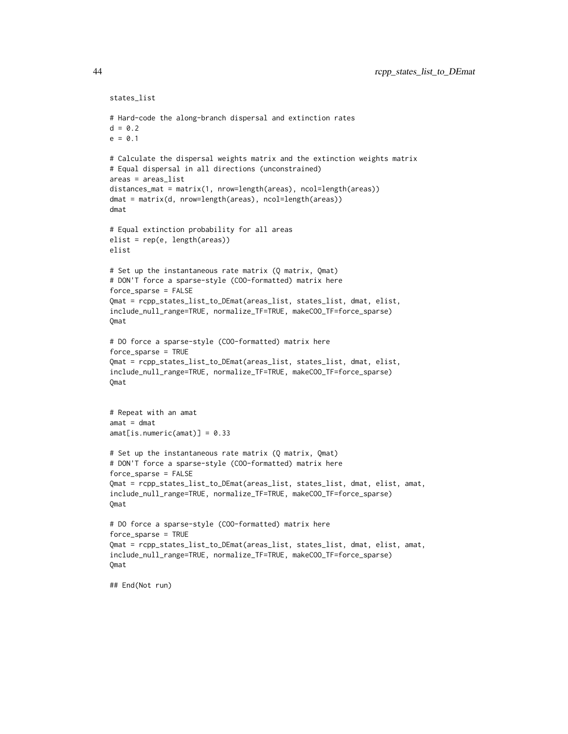```
states_list
# Hard-code the along-branch dispersal and extinction rates
d = 0.2e = 0.1# Calculate the dispersal weights matrix and the extinction weights matrix
# Equal dispersal in all directions (unconstrained)
areas = areas_list
distances_mat = matrix(1, nrow=length(areas), ncol=length(areas))
dmat = matrix(d, nrow=length(areas), ncol=length(areas))
dmat
# Equal extinction probability for all areas
elist = rep(e, length(areas))
elist
# Set up the instantaneous rate matrix (Q matrix, Qmat)
# DON'T force a sparse-style (COO-formatted) matrix here
force_sparse = FALSE
Qmat = rcpp_states_list_to_DEmat(areas_list, states_list, dmat, elist,
include_null_range=TRUE, normalize_TF=TRUE, makeCOO_TF=force_sparse)
Qmat
# DO force a sparse-style (COO-formatted) matrix here
force_sparse = TRUE
Qmat = rcpp_states_list_to_DEmat(areas_list, states_list, dmat, elist,
include_null_range=TRUE, normalize_TF=TRUE, makeCOO_TF=force_sparse)
Qmat
# Repeat with an amat
amat = dmatamat[is.numeric(amat)] = 0.33
# Set up the instantaneous rate matrix (Q matrix, Qmat)
# DON'T force a sparse-style (COO-formatted) matrix here
force_sparse = FALSE
Qmat = rcpp_states_list_to_DEmat(areas_list, states_list, dmat, elist, amat,
include_null_range=TRUE, normalize_TF=TRUE, makeCOO_TF=force_sparse)
Qmat
# DO force a sparse-style (COO-formatted) matrix here
force_sparse = TRUE
Qmat = rcpp_states_list_to_DEmat(areas_list, states_list, dmat, elist, amat,
include_null_range=TRUE, normalize_TF=TRUE, makeCOO_TF=force_sparse)
Qmat
## End(Not run)
```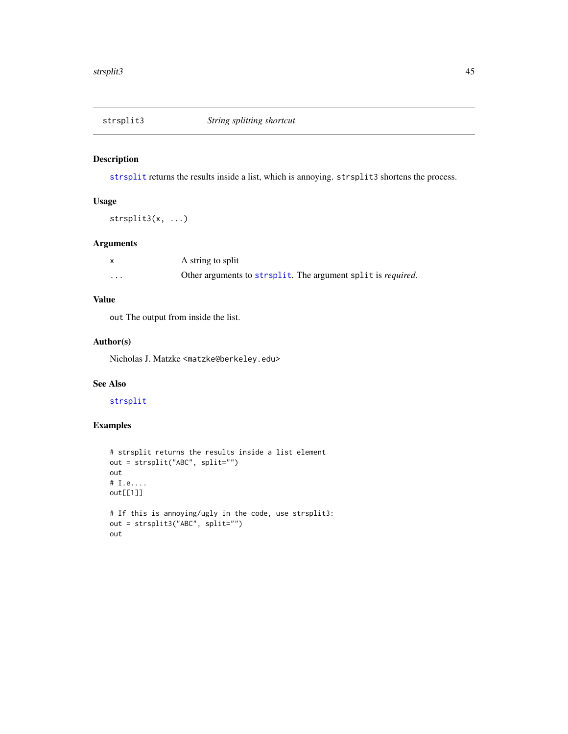<span id="page-44-0"></span>

## Description

[strsplit](#page-0-0) returns the results inside a list, which is annoying. strsplit3 shortens the process.

## Usage

strsplit3(x, ...)

## Arguments

|          | A string to split                                            |
|----------|--------------------------------------------------------------|
| $\cdots$ | Other arguments to strsplit. The argument split is required. |

## Value

out The output from inside the list.

## Author(s)

Nicholas J. Matzke <matzke@berkeley.edu>

## See Also

## [strsplit](#page-0-0)

## Examples

```
# strsplit returns the results inside a list element
out = strsplit("ABC", split="")
out
# I.e....
out[[1]]
# If this is annoying/ugly in the code, use strsplit3:
out = strsplit3("ABC", split="")
out
```